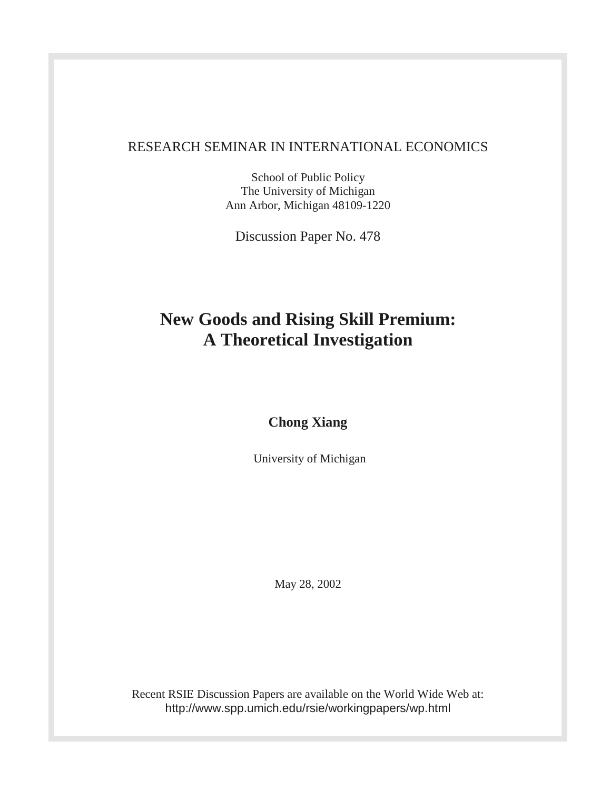# RESEARCH SEMINAR IN INTERNATIONAL ECONOMICS

School of Public Policy The University of Michigan Ann Arbor, Michigan 48109-1220

Discussion Paper No. 478

# **New Goods and Rising Skill Premium: A Theoretical Investigation**

# **Chong Xiang**

University of Michigan

May 28, 2002

Recent RSIE Discussion Papers are available on the World Wide Web at: http://www.spp.umich.edu/rsie/workingpapers/wp.html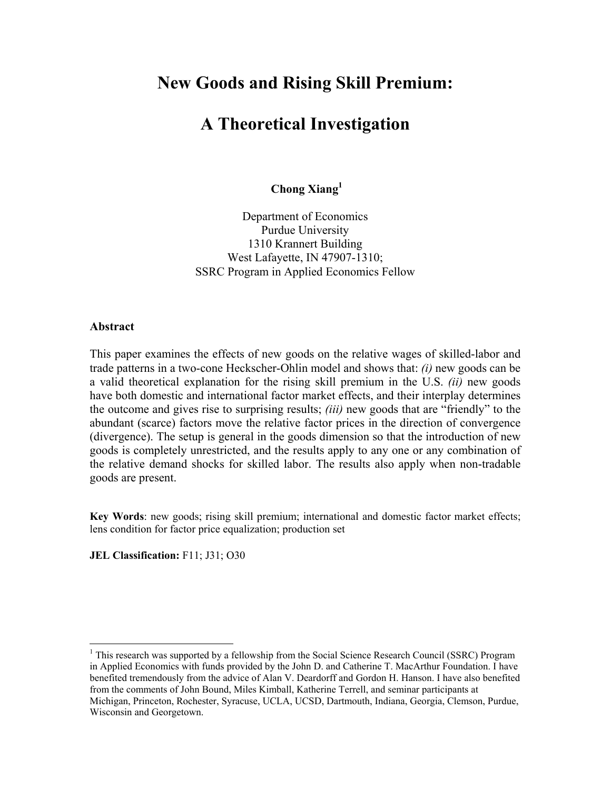# **New Goods and Rising Skill Premium:**

# **A Theoretical Investigation**

 **Chong Xian[g1](#page-1-0)**

Department of Economics Purdue University 1310 Krannert Building West Lafayette, IN 47907-1310; SSRC Program in Applied Economics Fellow

# **Abstract**

1

This paper examines the effects of new goods on the relative wages of skilled-labor and trade patterns in a two-cone Heckscher-Ohlin model and shows that: *(i)* new goods can be a valid theoretical explanation for the rising skill premium in the U.S. *(ii)* new goods have both domestic and international factor market effects, and their interplay determines the outcome and gives rise to surprising results; *(iii)* new goods that are "friendly" to the abundant (scarce) factors move the relative factor prices in the direction of convergence (divergence). The setup is general in the goods dimension so that the introduction of new goods is completely unrestricted, and the results apply to any one or any combination of the relative demand shocks for skilled labor. The results also apply when non-tradable goods are present.

**Key Words**: new goods; rising skill premium; international and domestic factor market effects; lens condition for factor price equalization; production set

**JEL Classification:** F11; J31; O30

<span id="page-1-0"></span><sup>&</sup>lt;sup>1</sup> This research was supported by a fellowship from the Social Science Research Council (SSRC) Program in Applied Economics with funds provided by the John D. and Catherine T. MacArthur Foundation. I have benefited tremendously from the advice of Alan V. Deardorff and Gordon H. Hanson. I have also benefited from the comments of John Bound, Miles Kimball, Katherine Terrell, and seminar participants at Michigan, Princeton, Rochester, Syracuse, UCLA, UCSD, Dartmouth, Indiana, Georgia, Clemson, Purdue, Wisconsin and Georgetown.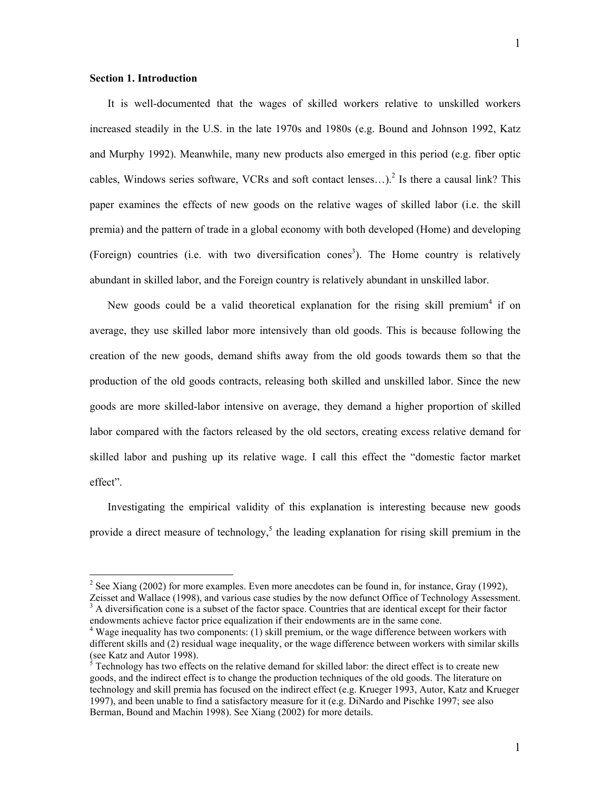## **Section 1. Introduction**

1

It is well-documented that the wages of skilled workers relative to unskilled workers increased steadily in the U.S. in the late 1970s and 1980s (e.g. Bound and Johnson 1992, Katz and Murphy 1992). Meanwhile, many new products also emerged in this period (e.g. fiber optic cables, Windows series software, VCRs and soft contact lenses... $)^2$  $)^2$  Is there a causal link? This paper examines the effects of new goods on the relative wages of skilled labor (i.e. the skill premia) and the pattern of trade in a global economy with both developed (Home) and developing (Foreign) countries (i.e. with two diversification cones<sup>[3](#page-2-1)</sup>). The Home country is relatively abundant in skilled labor, and the Foreign country is relatively abundant in unskilled labor.

New goods could be a valid theoretical explanation for the rising skill premium<sup>[4](#page-2-2)</sup> if on average, they use skilled labor more intensively than old goods. This is because following the creation of the new goods, demand shifts away from the old goods towards them so that the production of the old goods contracts, releasing both skilled and unskilled labor. Since the new goods are more skilled-labor intensive on average, they demand a higher proportion of skilled labor compared with the factors released by the old sectors, creating excess relative demand for skilled labor and pushing up its relative wage. I call this effect the "domestic factor market effect".

Investigating the empirical validity of this explanation is interesting because new goods provide a direct measure of technology,<sup>[5](#page-2-3)</sup> the leading explanation for rising skill premium in the

<span id="page-2-0"></span><sup>&</sup>lt;sup>2</sup> See Xiang (2002) for more examples. Even more anecdotes can be found in, for instance, Gray (1992),

<span id="page-2-1"></span>Zeisset and Wallace (1998), and various case studies by the now defunct Office of Technology Assessment. 3  $3$  A diversification cone is a subset of the factor space. Countries that are identical except for their factor endowments achieve factor price equalization if their endowments are in the same cone. 4

<span id="page-2-2"></span><sup>&</sup>lt;sup>4</sup> Wage inequality has two components: (1) skill premium, or the wage difference between workers with different skills and (2) residual wage inequality, or the wage difference between workers with similar skills (see Katz and Autor 1998).

<span id="page-2-3"></span> $\frac{1}{5}$  Technology has two effects on the relative demand for skilled labor: the direct effect is to create new goods, and the indirect effect is to change the production techniques of the old goods. The literature on technology and skill premia has focused on the indirect effect (e.g. Krueger 1993, Autor, Katz and Krueger 1997), and been unable to find a satisfactory measure for it (e.g. DiNardo and Pischke 1997; see also Berman, Bound and Machin 1998). See Xiang (2002) for more details.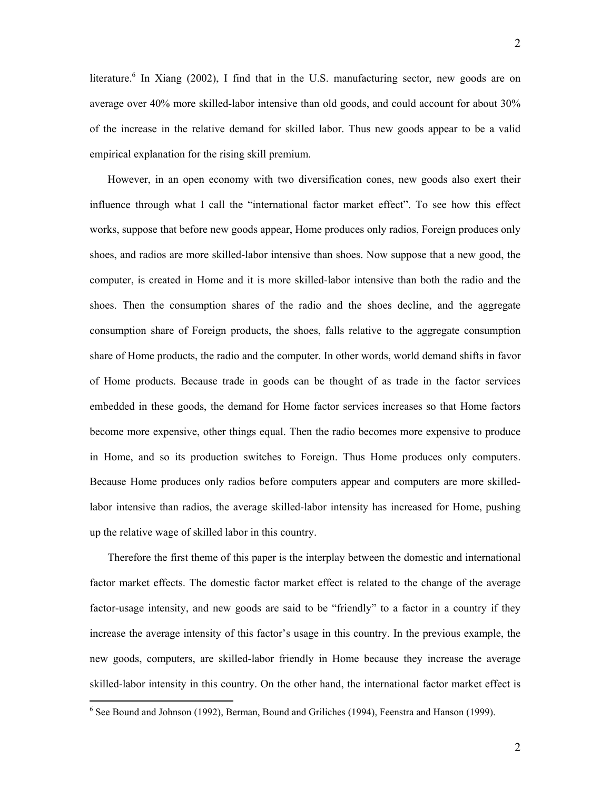literature.<sup>6</sup>In Xiang (2002), I find that in the U.S. manufacturing sector, new goods are on average over 40% more skilled-labor intensive than old goods, and could account for about 30% of the increase in the relative demand for skilled labor. Thus new goods appear to be a valid empirical explanation for the rising skill premium.

However, in an open economy with two diversification cones, new goods also exert their influence through what I call the "international factor market effect". To see how this effect works, suppose that before new goods appear, Home produces only radios, Foreign produces only shoes, and radios are more skilled-labor intensive than shoes. Now suppose that a new good, the computer, is created in Home and it is more skilled-labor intensive than both the radio and the shoes. Then the consumption shares of the radio and the shoes decline, and the aggregate consumption share of Foreign products, the shoes, falls relative to the aggregate consumption share of Home products, the radio and the computer. In other words, world demand shifts in favor of Home products. Because trade in goods can be thought of as trade in the factor services embedded in these goods, the demand for Home factor services increases so that Home factors become more expensive, other things equal. Then the radio becomes more expensive to produce in Home, and so its production switches to Foreign. Thus Home produces only computers. Because Home produces only radios before computers appear and computers are more skilledlabor intensive than radios, the average skilled-labor intensity has increased for Home, pushing up the relative wage of skilled labor in this country.

Therefore the first theme of this paper is the interplay between the domestic and international factor market effects. The domestic factor market effect is related to the change of the average factor-usage intensity, and new goods are said to be "friendly" to a factor in a country if they increase the average intensity of this factor's usage in this country. In the previous example, the new goods, computers, are skilled-labor friendly in Home because they increase the average skilled-labor intensity in this country. On the other hand, the international factor market effect is

<span id="page-3-0"></span><sup>&</sup>lt;sup>6</sup> See Bound and Johnson (1992), Berman, Bound and Griliches (1994), Feenstra and Hanson (1999).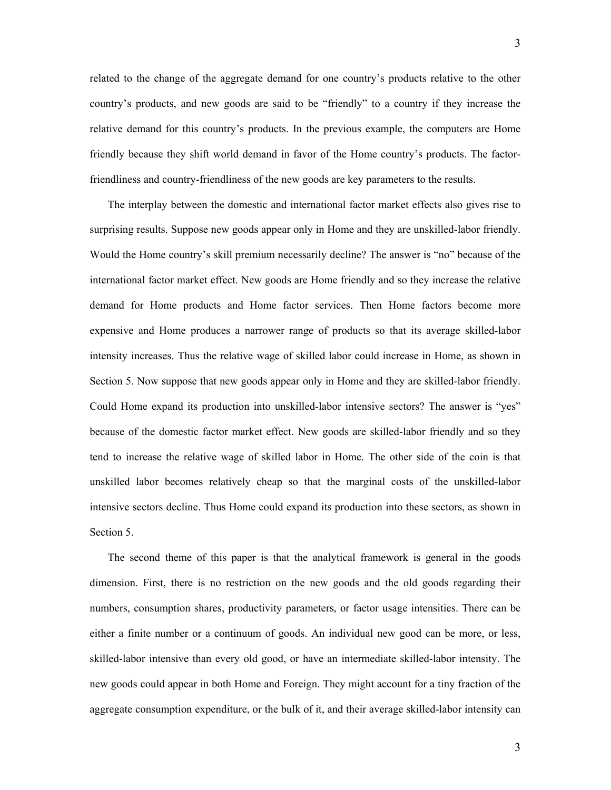related to the change of the aggregate demand for one country's products relative to the other country's products, and new goods are said to be "friendly" to a country if they increase the relative demand for this country's products. In the previous example, the computers are Home friendly because they shift world demand in favor of the Home country's products. The factorfriendliness and country-friendliness of the new goods are key parameters to the results.

The interplay between the domestic and international factor market effects also gives rise to surprising results. Suppose new goods appear only in Home and they are unskilled-labor friendly. Would the Home country's skill premium necessarily decline? The answer is "no" because of the international factor market effect. New goods are Home friendly and so they increase the relative demand for Home products and Home factor services. Then Home factors become more expensive and Home produces a narrower range of products so that its average skilled-labor intensity increases. Thus the relative wage of skilled labor could increase in Home, as shown in Section 5. Now suppose that new goods appear only in Home and they are skilled-labor friendly. Could Home expand its production into unskilled-labor intensive sectors? The answer is "yes" because of the domestic factor market effect. New goods are skilled-labor friendly and so they tend to increase the relative wage of skilled labor in Home. The other side of the coin is that unskilled labor becomes relatively cheap so that the marginal costs of the unskilled-labor intensive sectors decline. Thus Home could expand its production into these sectors, as shown in Section 5.

The second theme of this paper is that the analytical framework is general in the goods dimension. First, there is no restriction on the new goods and the old goods regarding their numbers, consumption shares, productivity parameters, or factor usage intensities. There can be either a finite number or a continuum of goods. An individual new good can be more, or less, skilled-labor intensive than every old good, or have an intermediate skilled-labor intensity. The new goods could appear in both Home and Foreign. They might account for a tiny fraction of the aggregate consumption expenditure, or the bulk of it, and their average skilled-labor intensity can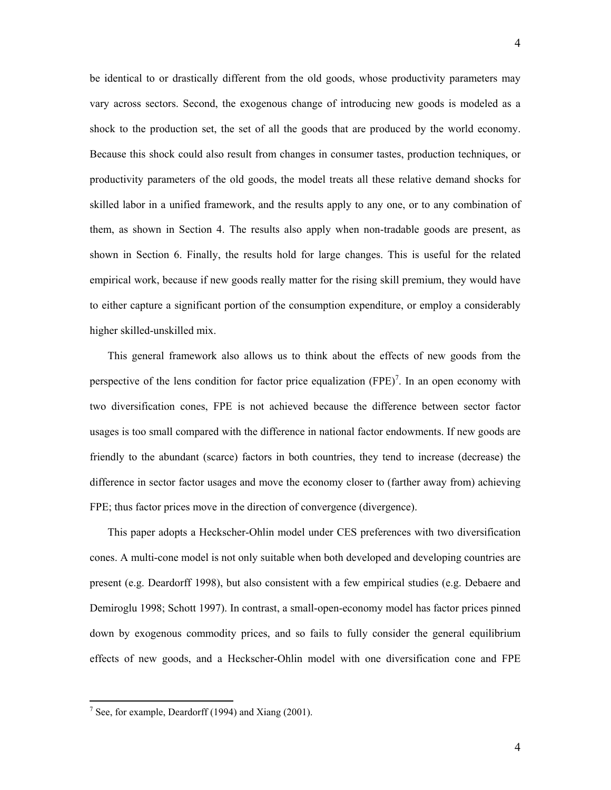be identical to or drastically different from the old goods, whose productivity parameters may vary across sectors. Second, the exogenous change of introducing new goods is modeled as a shock to the production set, the set of all the goods that are produced by the world economy. Because this shock could also result from changes in consumer tastes, production techniques, or productivity parameters of the old goods, the model treats all these relative demand shocks for skilled labor in a unified framework, and the results apply to any one, or to any combination of them, as shown in Section 4. The results also apply when non-tradable goods are present, as shown in Section 6. Finally, the results hold for large changes. This is useful for the related empirical work, because if new goods really matter for the rising skill premium, they would have to either capture a significant portion of the consumption expenditure, or employ a considerably higher skilled-unskilled mix.

This general framework also allows us to think about the effects of new goods from the perspective of the lens condition for factor price equalization  $(FPE)^7$  $(FPE)^7$ . In an open economy with two diversification cones, FPE is not achieved because the difference between sector factor usages is too small compared with the difference in national factor endowments. If new goods are friendly to the abundant (scarce) factors in both countries, they tend to increase (decrease) the difference in sector factor usages and move the economy closer to (farther away from) achieving FPE; thus factor prices move in the direction of convergence (divergence).

This paper adopts a Heckscher-Ohlin model under CES preferences with two diversification cones. A multi-cone model is not only suitable when both developed and developing countries are present (e.g. Deardorff 1998), but also consistent with a few empirical studies (e.g. Debaere and Demiroglu 1998; Schott 1997). In contrast, a small-open-economy model has factor prices pinned down by exogenous commodity prices, and so fails to fully consider the general equilibrium effects of new goods, and a Heckscher-Ohlin model with one diversification cone and FPE

<span id="page-5-0"></span><sup>&</sup>lt;sup>7</sup> See, for example, Deardorff (1994) and Xiang (2001).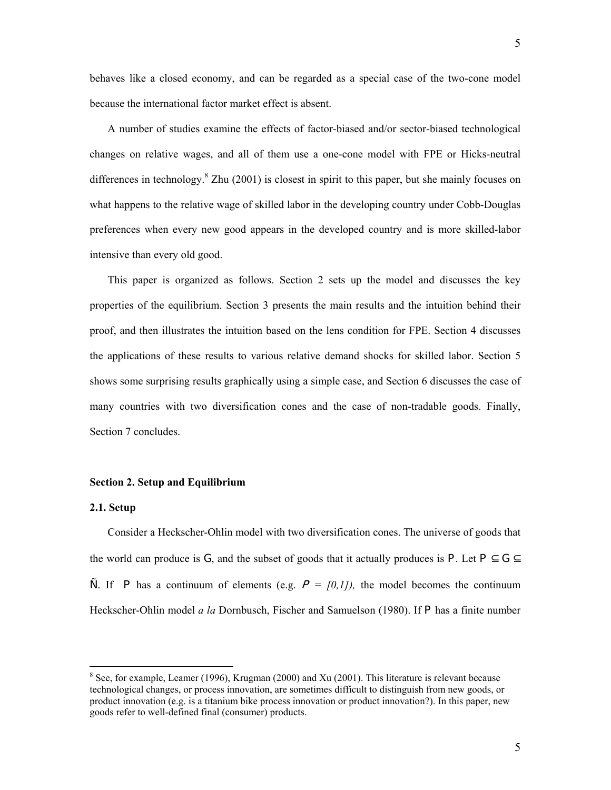behaves like a closed economy, and can be regarded as a special case of the two-cone model because the international factor market effect is absent.

A number of studies examine the effects of factor-biased and/or sector-biased technological changes on relative wages, and all of them use a one-cone model with FPE or Hicks-neutral differencesin technology.<sup>8</sup> Zhu (2001) is closest in spirit to this paper, but she mainly focuses on what happens to the relative wage of skilled labor in the developing country under Cobb-Douglas preferences when every new good appears in the developed country and is more skilled-labor intensive than every old good.

This paper is organized as follows. Section 2 sets up the model and discusses the key properties of the equilibrium. Section 3 presents the main results and the intuition behind their proof, and then illustrates the intuition based on the lens condition for FPE. Section 4 discusses the applications of these results to various relative demand shocks for skilled labor. Section 5 shows some surprising results graphically using a simple case, and Section 6 discusses the case of many countries with two diversification cones and the case of non-tradable goods. Finally, Section 7 concludes.

#### **Section 2. Setup and Equilibrium**

# **2.1. Setup**

Consider a Heckscher-Ohlin model with two diversification cones. The universe of goods that the world can produce is G, and the subset of goods that it actually produces is P. Let P  $\subseteq$  G  $\subseteq$  $\tilde{N}$ . If P has a continuum of elements (e.g.  $P = [0,1]$ ), the model becomes the continuum Heckscher-Ohlin model *a la* Dornbusch, Fischer and Samuelson (1980). If P has a finite number

<span id="page-6-0"></span><sup>&</sup>lt;sup>8</sup> See, for example, Leamer (1996), Krugman (2000) and Xu (2001). This literature is relevant because technological changes, or process innovation, are sometimes difficult to distinguish from new goods, or product innovation (e.g. is a titanium bike process innovation or product innovation?). In this paper, new goods refer to well-defined final (consumer) products.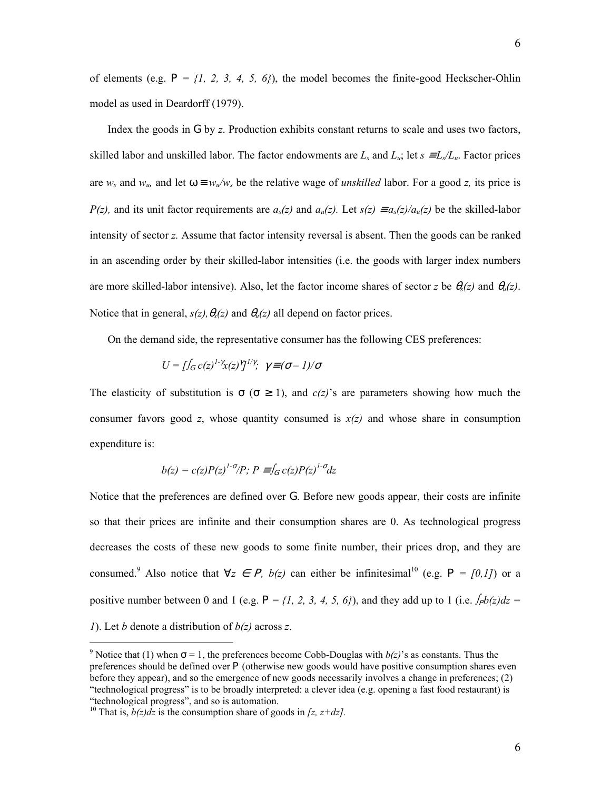of elements (e.g.  $P = \{1, 2, 3, 4, 5, 6\}$ ), the model becomes the finite-good Heckscher-Ohlin model as used in Deardorff (1979).

Index the goods in G by *z*. Production exhibits constant returns to scale and uses two factors, skilled labor and unskilled labor. The factor endowments are  $L_s$  and  $L_u$ ; let  $s = L_s/L_u$ . Factor prices are  $w_s$  and  $w_u$ , and let  $\omega \equiv w_u/w_s$  be the relative wage of *unskilled* labor. For a good *z*, its price is *P(z),* and its unit factor requirements are  $a_s(z)$  and  $a_u(z)$ . Let  $s(z) \equiv a_s(z)/a_u(z)$  be the skilled-labor intensity of sector *z.* Assume that factor intensity reversal is absent. Then the goods can be ranked in an ascending order by their skilled-labor intensities (i.e. the goods with larger index numbers are more skilled-labor intensive). Also, let the factor income shares of sector *z* be  $\theta_s(z)$  and  $\theta_u(z)$ . Notice that in general,  $s(z)$ ,  $\theta_s(z)$  and  $\theta_u(z)$  all depend on factor prices.

On the demand side, the representative consumer has the following CES preferences:

$$
U = \iint_G c(z)^{1-\gamma} x(z)^{\gamma} \jmath^{1/\gamma}; \ \ \gamma \equiv (\sigma - 1)/\sigma
$$

The elasticity of substitution is  $\sigma$  ( $\sigma \ge 1$ ), and *c(z)*'s are parameters showing how much the consumer favors good *z*, whose quantity consumed is  $x(z)$  and whose share in consumption expenditure is:

$$
b(z) = c(z)P(z)^{1-\sigma}/P; P \equiv \int_G c(z)P(z)^{1-\sigma}dz
$$

Notice that the preferences are defined over G. Before new goods appear, their costs are infinite so that their prices are infinite and their consumption shares are 0. As technological progress decreases the costs of these new goods to some finite number, their prices drop, and they are consumed.<sup>9</sup> Also notice that  $\forall z \in P$ ,  $b(z)$  can either be infinitesimal<sup>10</sup> (e.g. P = [0,1]) or a positive number between 0 and 1 (e.g.  $P = \{1, 2, 3, 4, 5, 6\}$ ), and they add up to 1 (i.e.  $\int_{P}b(z)dz =$ *1*). Let *b* denote a distribution of *b(z)* across *z*.

<span id="page-7-0"></span><sup>&</sup>lt;sup>9</sup> Notice that (1) when  $\sigma = 1$ , the preferences become Cobb-Douglas with  $b(z)$ 's as constants. Thus the preferences should be defined over P (otherwise new goods would have positive consumption shares even before they appear), and so the emergence of new goods necessarily involves a change in preferences; (2) "technological progress" is to be broadly interpreted: a clever idea (e.g. opening a fast food restaurant) is<br>"technological progress", and so is automation.

<span id="page-7-1"></span><sup>&</sup>lt;sup>10</sup> That is,  $b(z)dz$  is the consumption share of goods in *[z, z+dz]*.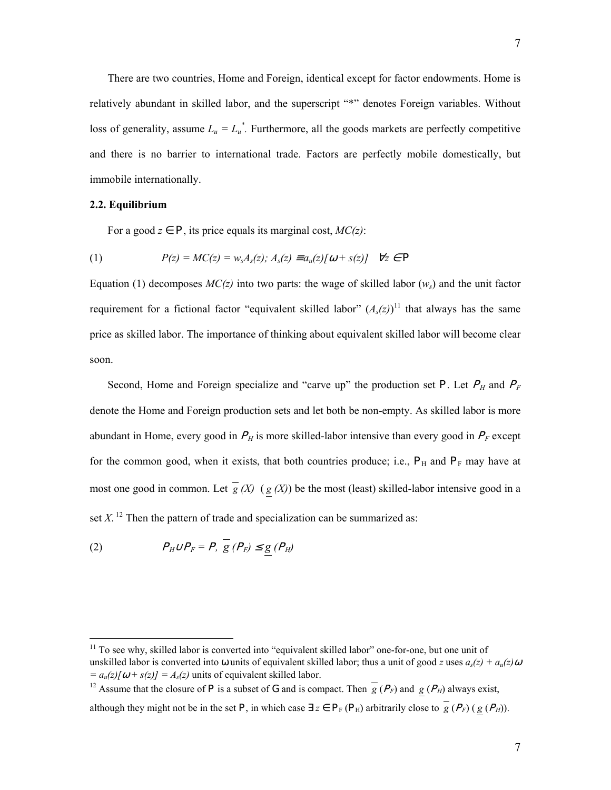There are two countries, Home and Foreign, identical except for factor endowments. Home is relatively abundant in skilled labor, and the superscript "\*" denotes Foreign variables. Without loss of generality, assume  $L_u = L_u^*$ . Furthermore, all the goods markets are perfectly competitive and there is no barrier to international trade. Factors are perfectly mobile domestically, but immobile internationally.

#### **2.2. Equilibrium**

For a good  $z \in P$ , its price equals its marginal cost,  $MC(z)$ :

(1) 
$$
P(z) = MC(z) = w_s A_s(z); A_s(z) = a_u(z)[\omega + s(z)] \quad \forall z \in P
$$

Equation (1) decomposes  $MC(z)$  into two parts: the wage of skilled labor  $(w_s)$  and the unit factor requirement for a fictional factor "equivalent skilled labor"  $(A_s(z))$ <sup>11</sup> that always has the same price as skilled labor. The importance of thinking about equivalent skilled labor will become clear soon.

Second, Home and Foreign specialize and "carve up" the production set P. Let  $P_H$  and  $P_F$ denote the Home and Foreign production sets and let both be non-empty. As skilled labor is more abundant in Home, every good in  $P_H$  is more skilled-labor intensive than every good in  $P_F$  except for the common good, when it exists, that both countries produce; i.e.,  $P_H$  and  $P_F$  may have at most one good in common. Let  $\overline{g}(X)$  ( $g(X)$ ) be the most (least) skilled-labor intensive good in a set  $X$ <sup>12</sup>. Then the pattern of trade and specialization can be summarized as:

$$
(2) \tP_H \cup P_F = P, \ g (P_F) \le g (P_H)
$$

1

<span id="page-8-1"></span><sup>12</sup> Assume that the closure of P is a subset of G and is compact. Then  $\overline{g}$  ( $P_F$ ) and *g* ( $P_H$ ) always exist, although they might not be in the set P, in which case  $\exists z \in P_F(P_H)$  arbitrarily close to  $\overline{g}(P_F)(g(P_H))$ .

<span id="page-8-0"></span><sup>&</sup>lt;sup>11</sup> To see why, skilled labor is converted into "equivalent skilled labor" one-for-one, but one unit of unskilled labor is converted into  $\omega$  units of equivalent skilled labor; thus a unit of good *z* uses  $a_s(z) + a_u(z)\omega$ <br>=  $a_u(z)[\omega + s(z)] = A_s(z)$  units of equivalent skilled labor.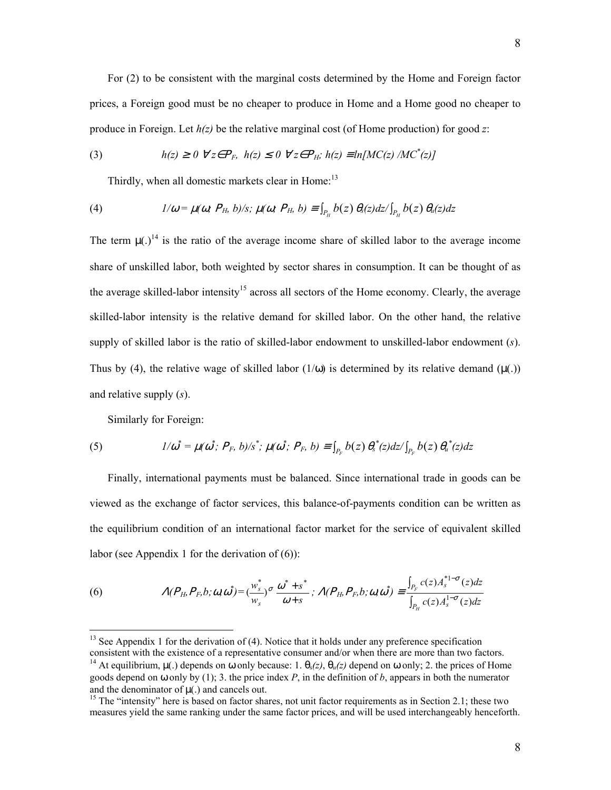For (2) to be consistent with the marginal costs determined by the Home and Foreign factor prices, a Foreign good must be no cheaper to produce in Home and a Home good no cheaper to produce in Foreign. Let *h(z)* be the relative marginal cost (of Home production) for good *z*:

(3) 
$$
h(z) \geq 0 \ \forall z \in P_F, \ h(z) \leq 0 \ \forall z \in P_H; \ h(z) \equiv \ln[MC(z) / MC^*(z)]
$$

Thirdly, when all domestic markets clear in Home:<sup>[13](#page-9-0)</sup>

(4) 
$$
1/\omega = \mu(\omega; P_H, b)/s; \mu(\omega; P_H, b) \equiv \int_{P_H} b(z) \theta_s(z) dz / \int_{P_H} b(z) \theta_u(z) dz
$$

The term  $\mu$ .)<sup>14</sup> is the ratio of the average income share of skilled labor to the average income share of unskilled labor, both weighted by sector shares in consumption. It can be thought of as the average skilled-labor intensity<sup>15</sup> across all sectors of the Home economy. Clearly, the average skilled-labor intensity is the relative demand for skilled labor. On the other hand, the relative supply of skilled labor is the ratio of skilled-labor endowment to unskilled-labor endowment (*s*). Thus by (4), the relative wage of skilled labor ( $1/\omega$ ) is determined by its relative demand ( $\mu$ (.)) and relative supply (*s*).

Similarly for Foreign:

1

(5) 
$$
1/\omega^* = \mu(\omega^*; P_F, b)/s^*; \mu(\omega^*; P_F, b) \equiv \int_{P_F} b(z) \theta_s^*(z) dz / \int_{P_F} b(z) \theta_u^*(z) dz
$$

Finally, international payments must be balanced. Since international trade in goods can be viewed as the exchange of factor services, this balance-of-payments condition can be written as the equilibrium condition of an international factor market for the service of equivalent skilled labor (see Appendix 1 for the derivation of  $(6)$ ):

(6) 
$$
\Lambda(P_H, P_F, b; \omega, \omega^*) = (\frac{w_s^*}{w_s})^{\sigma} \frac{\omega^* + s^*}{\omega + s}; \ \Lambda(P_H, P_F, b; \omega, \omega^*) = \frac{\int_{P_F} c(z) A_s^{*1-\sigma}(z) dz}{\int_{P_H} c(z) A_s^{1-\sigma}(z) dz}
$$

<span id="page-9-0"></span><sup>&</sup>lt;sup>13</sup> See Appendix 1 for the derivation of (4). Notice that it holds under any preference specification consistent with the existence of a representative consumer and/or when there are more than two factors.

<span id="page-9-1"></span><sup>&</sup>lt;sup>14</sup> At equilibrium,  $\mu$ (.) depends on ω only because: 1,  $\theta_1(z)$ ,  $\theta_1(z)$  depend on ω only; 2, the prices of Home goods depend on  $\omega$  only by (1); 3. the price index *P*, in the definition of *b*, appears in both the numerator and the denominator of  $\mu$ (.) and cancels out.

<span id="page-9-2"></span><sup>&</sup>lt;sup>15</sup> The "intensity" here is based on factor shares, not unit factor requirements as in Section 2.1; these two measures yield the same ranking under the same factor prices, and will be used interchangeably henceforth.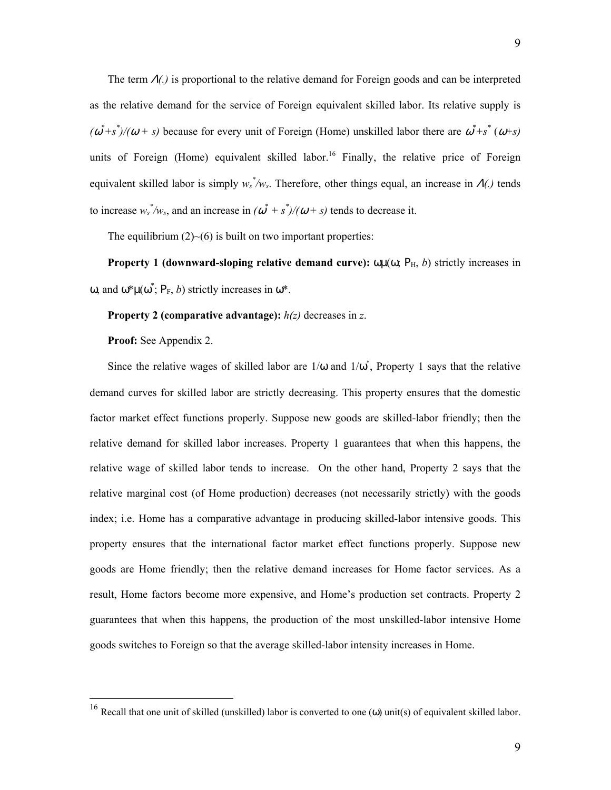The term <sup>Λ</sup>*(.)* is proportional to the relative demand for Foreign goods and can be interpreted as the relative demand for the service of Foreign equivalent skilled labor. Its relative supply is  $(\omega^* + s^*)/(\omega + s)$  because for every unit of Foreign (Home) unskilled labor there are  $\omega^* + s^* (\omega + s)$ units of Foreign (Home) equivalent skilled labor.<sup>16</sup> Finally, the relative price of Foreign equivalent skilled labor is simply *ws \* /ws*. Therefore, other things equal, an increase in Λ*(.)* tends to increase  $w_s^* / w_s$ , and an increase in  $(\omega^* + s^*) / (\omega + s)$  tends to decrease it.

The equilibrium  $(2)$   $\sim$  (6) is built on two important properties:

**Property 1 (downward-sloping relative demand curve):**  $\omega\mu(\omega; P_H, b)$  strictly increases in ω, and  $ω^*μ(ω^*; P_F, b)$  strictly increases in  $ω^*$ .

# **Property 2 (comparative advantage):** *h(z)* decreases in *z*.

### **Proof:** See Appendix 2.

1

Since the relative wages of skilled labor are  $1/\omega$  and  $1/\omega^*$ , Property 1 says that the relative demand curves for skilled labor are strictly decreasing. This property ensures that the domestic factor market effect functions properly. Suppose new goods are skilled-labor friendly; then the relative demand for skilled labor increases. Property 1 guarantees that when this happens, the relative wage of skilled labor tends to increase. On the other hand, Property 2 says that the relative marginal cost (of Home production) decreases (not necessarily strictly) with the goods index; i.e. Home has a comparative advantage in producing skilled-labor intensive goods. This property ensures that the international factor market effect functions properly. Suppose new goods are Home friendly; then the relative demand increases for Home factor services. As a result, Home factors become more expensive, and Home's production set contracts. Property 2 guarantees that when this happens, the production of the most unskilled-labor intensive Home goods switches to Foreign so that the average skilled-labor intensity increases in Home.

<span id="page-10-0"></span><sup>&</sup>lt;sup>16</sup> Recall that one unit of skilled (unskilled) labor is converted to one ( $\omega$ ) unit(s) of equivalent skilled labor.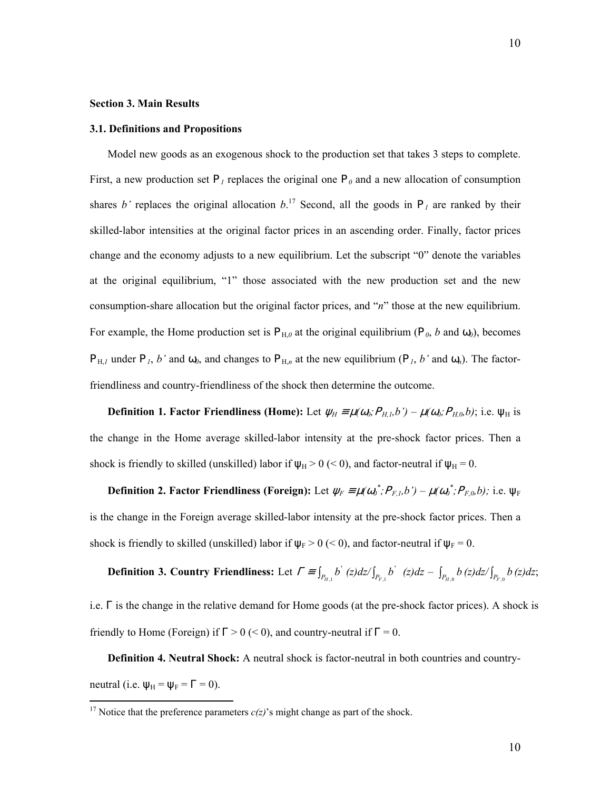#### **Section 3. Main Results**

#### **3.1. Definitions and Propositions**

Model new goods as an exogenous shock to the production set that takes 3 steps to complete. First, a new production set  $P_l$  replaces the original one  $P_0$  and a new allocation of consumption shares *b*' replaces the original allocation  $b$ <sup>17</sup>. Second, all the goods in  $P<sub>I</sub>$  are ranked by their skilled-labor intensities at the original factor prices in an ascending order. Finally, factor prices change and the economy adjusts to a new equilibrium. Let the subscript "0" denote the variables at the original equilibrium, "1" those associated with the new production set and the new consumption-share allocation but the original factor prices, and "*n*" those at the new equilibrium. For example, the Home production set is  $P_{H,\theta}$  at the original equilibrium ( $P_{\theta}$ , *b* and  $\omega_{\theta}$ ), becomes  $P_{H,I}$  under  $P_I$ , *b'* and  $\omega_0$ , and changes to  $P_{H,n}$  at the new equilibrium ( $P_I$ , *b'* and  $\omega_n$ ). The factorfriendliness and country-friendliness of the shock then determine the outcome.

**Definition 1. Factor Friendliness (Home):** Let  $\psi_H = \mu(\omega_0; P_{H,L}b') - \mu(\omega_0; P_{H,0},b)$ ; i.e.  $\psi_H$  is the change in the Home average skilled-labor intensity at the pre-shock factor prices. Then a shock is friendly to skilled (unskilled) labor if  $\psi_H > 0$  (< 0), and factor-neutral if  $\psi_H = 0$ .

**Definition 2. Factor Friendliness (Foreign):** Let  $\psi_F \equiv \mu(\omega_0^*; P_{F,L}b') - \mu(\omega_0^*; P_{F,0}b)$ ; i.e.  $\psi_F$ is the change in the Foreign average skilled-labor intensity at the pre-shock factor prices. Then a shock is friendly to skilled (unskilled) labor if  $\psi_F > 0$  (< 0), and factor-neutral if  $\psi_F = 0$ .

**Definition 3. Country Friendliness:** Let  $\Gamma = \int_{P_{H,1}} b'(z) dz / \int_{P_{F,1}} b'(z) dz - \int_{P_{H,0}} b(z) dz / \int_{P_{F,0}} b(z) dz$ ; i.e. Γ is the change in the relative demand for Home goods (at the pre-shock factor prices). A shock is friendly to Home (Foreign) if  $\Gamma > 0$  (< 0), and country-neutral if  $\Gamma = 0$ .

**Definition 4. Neutral Shock:** A neutral shock is factor-neutral in both countries and countryneutral (i.e.  $\psi_H = \psi_F = \Gamma = 0$ ).

<span id="page-11-0"></span><sup>&</sup>lt;sup>17</sup> Notice that the preference parameters  $c(z)$ 's might change as part of the shock.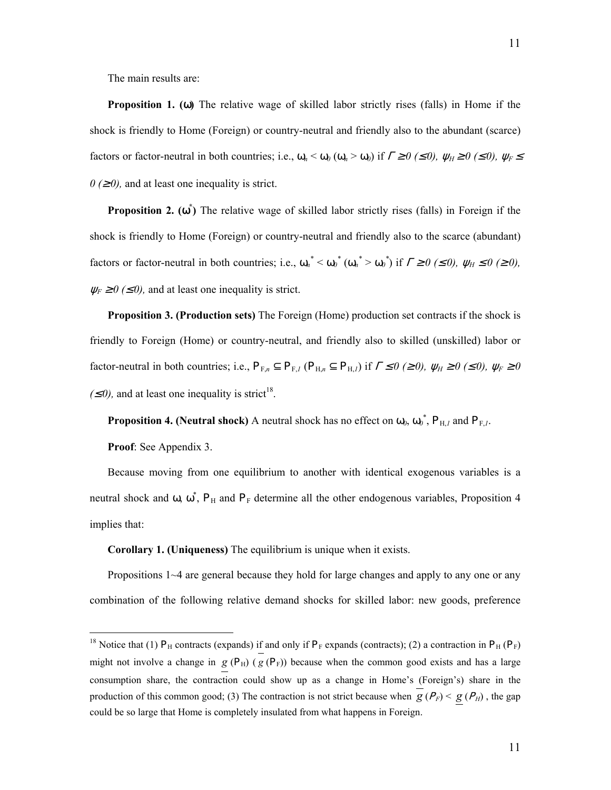The main results are:

**Proposition 1. (**ω**)** The relative wage of skilled labor strictly rises (falls) in Home if the shock is friendly to Home (Foreign) or country-neutral and friendly also to the abundant (scarce) factors or factor-neutral in both countries; i.e.,  $\omega_n < \omega_0$  ( $\omega_n > \omega_0$ ) if  $\Gamma \ge 0$  ( $\le 0$ ),  $\psi_H \ge 0$  ( $\le 0$ ),  $\psi_F \le$  $0$  ( $\geq$  0), and at least one inequality is strict.

**Proposition 2. (** $\omega^*$ **) The relative wage of skilled labor strictly rises (falls) in Foreign if the** shock is friendly to Home (Foreign) or country-neutral and friendly also to the scarce (abundant) factors or factor-neutral in both countries; i.e.,  $\omega_n^* < \omega_0^*$  ( $\omega_n^* > \omega_0^*$ ) if  $\Gamma \ge 0$  ( $\le 0$ ),  $\psi_H \le 0$  ( $\ge 0$ ),  $\psi_F \ge 0$  ( $\le 0$ ), and at least one inequality is strict.

**Proposition 3. (Production sets)** The Foreign (Home) production set contracts if the shock is friendly to Foreign (Home) or country-neutral, and friendly also to skilled (unskilled) labor or factor-neutral in both countries; i.e.,  $P_{F,n} \subseteq P_{F,I}$  ( $P_{H,n} \subseteq P_{H,I}$ ) if  $\Gamma \leq 0 \geq 0$ ,  $\psi_H \geq 0 \leq 0$ ,  $\psi_F \geq 0$  $(\leq 0)$ , and at least one inequality is strict<sup>18</sup>.

**Proposition 4. (Neutral shock)** A neutral shock has no effect on  $\omega_0$ ,  $\omega_0^*$ ,  $P_{H,I}$  and  $P_{F,I}$ .

**Proof**: See Appendix 3.

1

Because moving from one equilibrium to another with identical exogenous variables is a neutral shock and  $\omega$ ,  $\omega^*$ ,  $P_H$  and  $P_F$  determine all the other endogenous variables, Proposition 4 implies that:

**Corollary 1. (Uniqueness)** The equilibrium is unique when it exists.

Propositions 1~4 are general because they hold for large changes and apply to any one or any combination of the following relative demand shocks for skilled labor: new goods, preference

<span id="page-12-0"></span><sup>&</sup>lt;sup>18</sup> Notice that (1)  $P_H$  contracts (expands) if and only if  $P_F$  expands (contracts); (2) a contraction in  $P_H$  ( $P_F$ ) might not involve a change in  $g(P_H)$  ( $g(P_F)$ ) because when the common good exists and has a large consumption share, the contraction could show up as a change in Home's (Foreign's) share in the production of this common good; (3) The contraction is not strict because when  $g(P_F) < g(P_H)$ , the gap could be so large that Home is completely insulated from what happens in Foreign.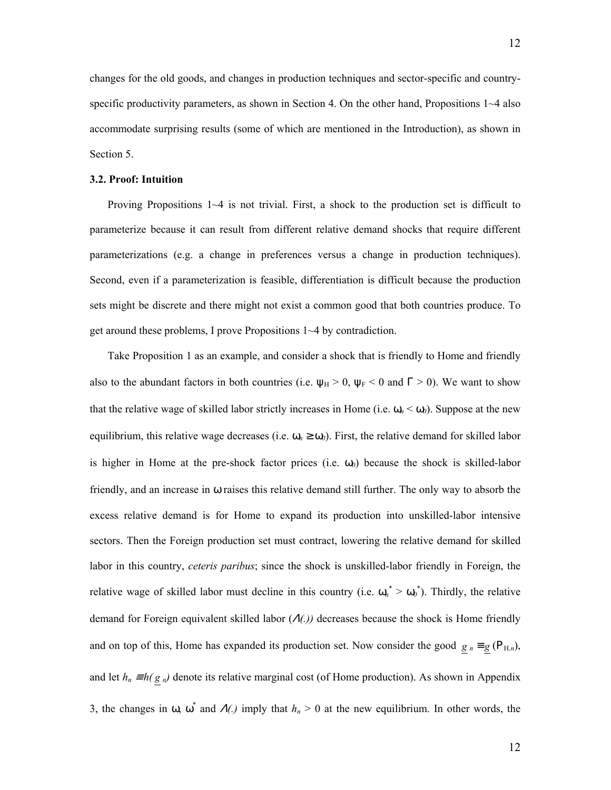changes for the old goods, and changes in production techniques and sector-specific and countryspecific productivity parameters, as shown in Section 4. On the other hand, Propositions 1~4 also accommodate surprising results (some of which are mentioned in the Introduction), as shown in Section 5.

#### **3.2. Proof: Intuition**

Proving Propositions  $1~4$  is not trivial. First, a shock to the production set is difficult to parameterize because it can result from different relative demand shocks that require different parameterizations (e.g. a change in preferences versus a change in production techniques). Second, even if a parameterization is feasible, differentiation is difficult because the production sets might be discrete and there might not exist a common good that both countries produce. To get around these problems, I prove Propositions 1~4 by contradiction.

Take Proposition 1 as an example, and consider a shock that is friendly to Home and friendly also to the abundant factors in both countries (i.e.  $\psi_H > 0$ ,  $\psi_F < 0$  and  $\Gamma > 0$ ). We want to show that the relative wage of skilled labor strictly increases in Home (i.e.  $\omega_n < \omega_0$ ). Suppose at the new equilibrium, this relative wage decreases (i.e.  $\omega_n \ge \omega_0$ ). First, the relative demand for skilled labor is higher in Home at the pre-shock factor prices (i.e.  $\omega_0$ ) because the shock is skilled-labor friendly, and an increase in ω raises this relative demand still further. The only way to absorb the excess relative demand is for Home to expand its production into unskilled-labor intensive sectors. Then the Foreign production set must contract, lowering the relative demand for skilled labor in this country, *ceteris paribus*; since the shock is unskilled-labor friendly in Foreign, the relative wage of skilled labor must decline in this country (i.e.  $\omega_n^* > \omega_0^*$ ). Thirdly, the relative demand for Foreign equivalent skilled labor (Λ*(.))* decreases because the shock is Home friendly and on top of this, Home has expanded its production set. Now consider the good  $g_n \equiv g(P_{H,n})$ , and let  $h_n = h(g_n)$  denote its relative marginal cost (of Home production). As shown in Appendix 3, the changes in  $\omega$ ,  $\omega^*$  and  $\Lambda$ (.) imply that  $h_n > 0$  at the new equilibrium. In other words, the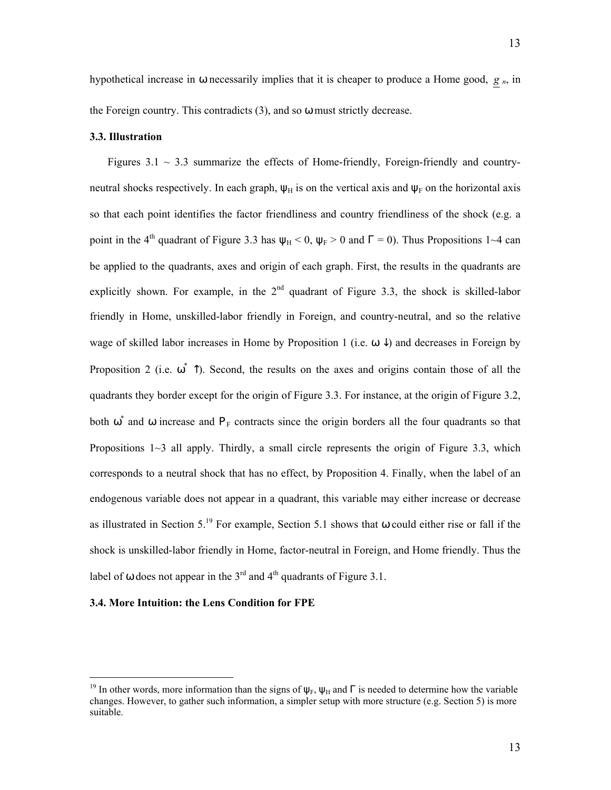hypothetical increase in ω necessarily implies that it is cheaper to produce a Home good, *g <sup>n</sup>*, in the Foreign country. This contradicts  $(3)$ , and so  $\omega$  must strictly decrease.

# **3.3. Illustration**

Figures  $3.1 \sim 3.3$  summarize the effects of Home-friendly, Foreign-friendly and countryneutral shocks respectively. In each graph,  $\psi_H$  is on the vertical axis and  $\psi_F$  on the horizontal axis so that each point identifies the factor friendliness and country friendliness of the shock (e.g. a point in the 4<sup>th</sup> quadrant of Figure 3.3 has  $\psi_H < 0$ ,  $\psi_F > 0$  and  $\Gamma = 0$ ). Thus Propositions 1~4 can be applied to the quadrants, axes and origin of each graph. First, the results in the quadrants are explicitly shown. For example, in the  $2<sup>nd</sup>$  quadrant of Figure 3.3, the shock is skilled-labor friendly in Home, unskilled-labor friendly in Foreign, and country-neutral, and so the relative wage of skilled labor increases in Home by Proposition 1 (i.e.  $\omega \downarrow$ ) and decreases in Foreign by Proposition 2 (i.e.  $\omega^*$  <sup> $\uparrow$ </sup>). Second, the results on the axes and origins contain those of all the quadrants they border except for the origin of Figure 3.3. For instance, at the origin of Figure 3.2, both  $\omega^*$  and  $\omega$  increase and  $P_F$  contracts since the origin borders all the four quadrants so that Propositions  $1~3$  all apply. Thirdly, a small circle represents the origin of Figure 3.3, which corresponds to a neutral shock that has no effect, by Proposition 4. Finally, when the label of an endogenous variable does not appear in a quadrant, this variable may either increase or decrease as illustrated in Section 5.<sup>19</sup> For example, Section 5.1 shows that  $\omega$  could either rise or fall if the shock is unskilled-labor friendly in Home, factor-neutral in Foreign, and Home friendly. Thus the label of  $\omega$  does not appear in the 3<sup>rd</sup> and 4<sup>th</sup> quadrants of Figure 3.1.

#### **3.4. More Intuition: the Lens Condition for FPE**

<span id="page-14-0"></span><sup>&</sup>lt;sup>19</sup> In other words, more information than the signs of  $\psi_F$ ,  $\psi_H$  and  $\Gamma$  is needed to determine how the variable changes. However, to gather such information, a simpler setup with more structure (e.g. Section 5) is more suitable.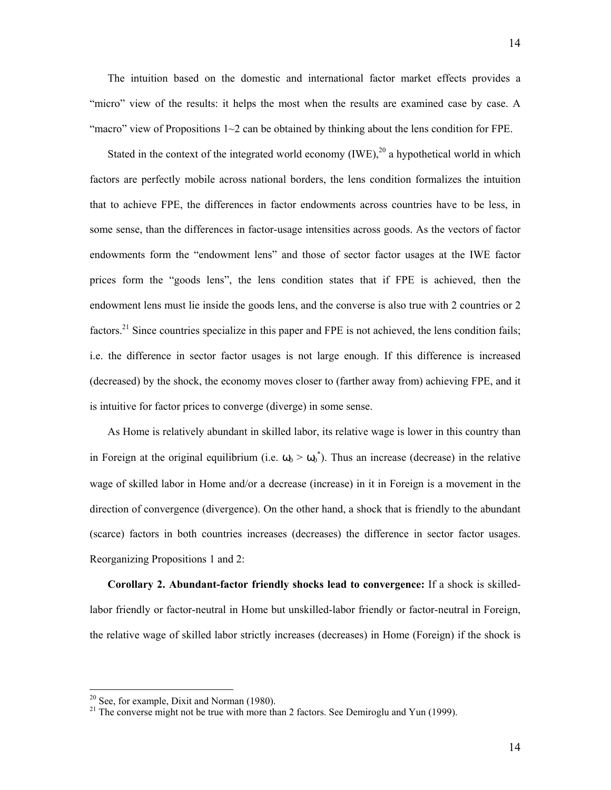The intuition based on the domestic and international factor market effects provides a "micro" view of the results: it helps the most when the results are examined case by case. A "macro" view of Propositions  $1 \sim 2$  can be obtained by thinking about the lens condition for FPE.

Stated in the context of the integrated world economy  $(WE)$ ,<sup>20</sup> a hypothetical world in which factors are perfectly mobile across national borders, the lens condition formalizes the intuition that to achieve FPE, the differences in factor endowments across countries have to be less, in some sense, than the differences in factor-usage intensities across goods. As the vectors of factor endowments form the "endowment lens" and those of sector factor usages at the IWE factor prices form the "goods lens", the lens condition states that if FPE is achieved, then the endowment lens must lie inside the goods lens, and the converse is also true with 2 countries or 2 factors.<sup>21</sup> Since countries specialize in this paper and FPE is not achieved, the lens condition fails; i.e. the difference in sector factor usages is not large enough. If this difference is increased (decreased) by the shock, the economy moves closer to (farther away from) achieving FPE, and it is intuitive for factor prices to converge (diverge) in some sense.

As Home is relatively abundant in skilled labor, its relative wage is lower in this country than in Foreign at the original equilibrium (i.e.  $\omega_0 > \omega_0^*$ ). Thus an increase (decrease) in the relative wage of skilled labor in Home and/or a decrease (increase) in it in Foreign is a movement in the direction of convergence (divergence). On the other hand, a shock that is friendly to the abundant (scarce) factors in both countries increases (decreases) the difference in sector factor usages. Reorganizing Propositions 1 and 2:

**Corollary 2. Abundant-factor friendly shocks lead to convergence:** If a shock is skilledlabor friendly or factor-neutral in Home but unskilled-labor friendly or factor-neutral in Foreign, the relative wage of skilled labor strictly increases (decreases) in Home (Foreign) if the shock is

<span id="page-15-0"></span> $20$  See, for example, Dixit and Norman (1980).

<span id="page-15-1"></span><sup>&</sup>lt;sup>21</sup> The converse might not be true with more than 2 factors. See Demiroglu and Yun (1999).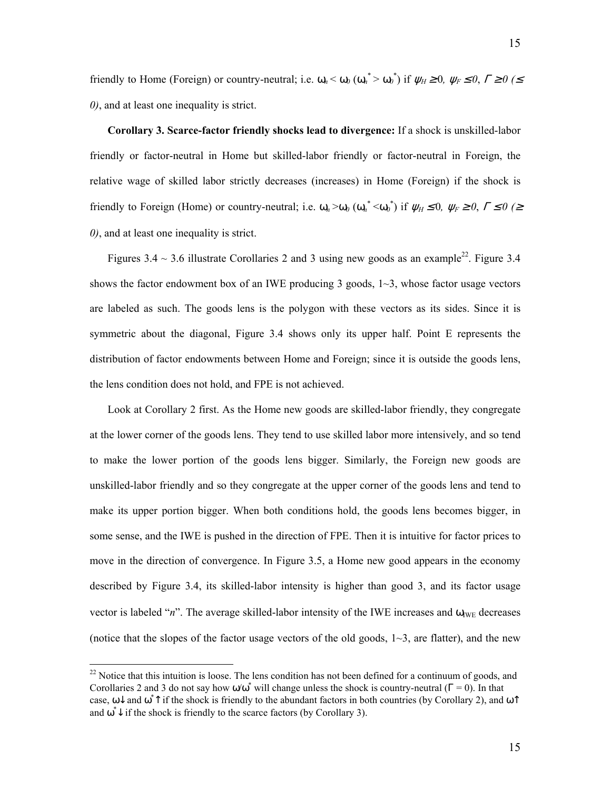friendly to Home (Foreign) or country-neutral; i.e.  $\omega_n < \omega_0$  ( $\omega_n^* > \omega_0^*$ ) if  $\psi_H \ge 0$ ,  $\psi_F \le 0$ ,  $\Gamma \ge 0$  ( $\le$ *0)*, and at least one inequality is strict.

**Corollary 3. Scarce-factor friendly shocks lead to divergence:** If a shock is unskilled-labor friendly or factor-neutral in Home but skilled-labor friendly or factor-neutral in Foreign, the relative wage of skilled labor strictly decreases (increases) in Home (Foreign) if the shock is friendly to Foreign (Home) or country-neutral; i.e.  $\omega_n > \omega_0 \left( \omega_n^* < \omega_0^* \right)$  if  $\psi_H \leq 0$ ,  $\psi_F \geq 0$ ,  $\Gamma \leq 0$  ( $\geq$ *0)*, and at least one inequality is strict.

Figures 3.4  $\sim$  3.6 illustrate Corollaries 2 and 3 using new goods as an example<sup>22</sup>. Figure 3.4 shows the factor endowment box of an IWE producing 3 goods,  $1~3$ , whose factor usage vectors are labeled as such. The goods lens is the polygon with these vectors as its sides. Since it is symmetric about the diagonal, Figure 3.4 shows only its upper half. Point E represents the distribution of factor endowments between Home and Foreign; since it is outside the goods lens, the lens condition does not hold, and FPE is not achieved.

Look at Corollary 2 first. As the Home new goods are skilled-labor friendly, they congregate at the lower corner of the goods lens. They tend to use skilled labor more intensively, and so tend to make the lower portion of the goods lens bigger. Similarly, the Foreign new goods are unskilled-labor friendly and so they congregate at the upper corner of the goods lens and tend to make its upper portion bigger. When both conditions hold, the goods lens becomes bigger, in some sense, and the IWE is pushed in the direction of FPE. Then it is intuitive for factor prices to move in the direction of convergence. In Figure 3.5, a Home new good appears in the economy described by Figure 3.4, its skilled-labor intensity is higher than good 3, and its factor usage vector is labeled " $n$ ". The average skilled-labor intensity of the IWE increases and  $\omega_{\text{IWE}}$  decreases (notice that the slopes of the factor usage vectors of the old goods,  $1\sim 3$ , are flatter), and the new

<span id="page-16-0"></span> $^{22}$  Notice that this intuition is loose. The lens condition has not been defined for a continuum of goods, and Corollaries 2 and 3 do not say how  $\omega/\omega^*$  will change unless the shock is country-neutral ( $\Gamma = 0$ ). In that case, ω↓ and ω\* ↑ if the shock is friendly to the abundant factors in both countries (by Corollary 2), and ω↑ and  $\omega^*$  if the shock is friendly to the scarce factors (by Corollary 3).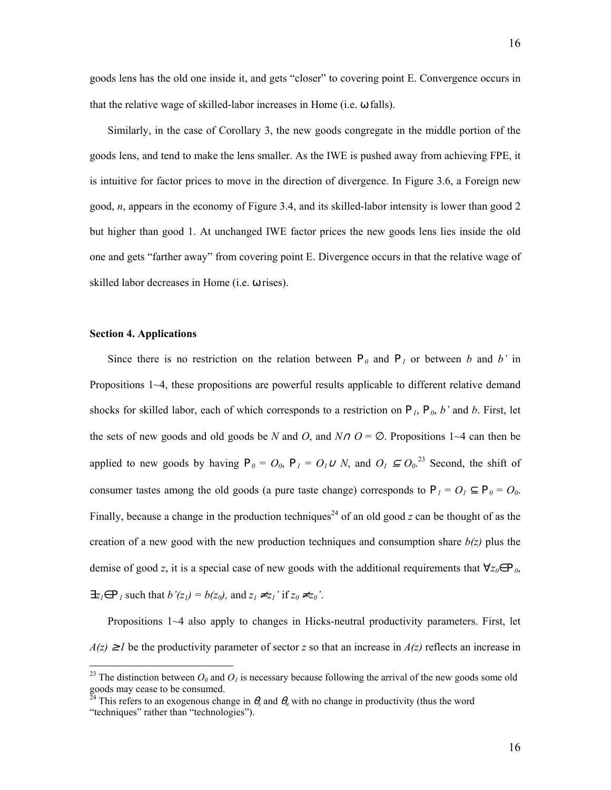goods lens has the old one inside it, and gets "closer" to covering point E. Convergence occurs in that the relative wage of skilled-labor increases in Home (i.e. ω falls).

Similarly, in the case of Corollary 3, the new goods congregate in the middle portion of the goods lens, and tend to make the lens smaller. As the IWE is pushed away from achieving FPE, it is intuitive for factor prices to move in the direction of divergence. In Figure 3.6, a Foreign new good, *n*, appears in the economy of Figure 3.4, and its skilled-labor intensity is lower than good 2 but higher than good 1. At unchanged IWE factor prices the new goods lens lies inside the old one and gets "farther away" from covering point E. Divergence occurs in that the relative wage of skilled labor decreases in Home (i.e. ω rises).

# **Section 4. Applications**

1

Since there is no restriction on the relation between  $P_0$  and  $P_1$  or between *b* and *b'* in Propositions 1~4, these propositions are powerful results applicable to different relative demand shocks for skilled labor, each of which corresponds to a restriction on P*1*, P*0*, *b'* and *b*. First, let the sets of new goods and old goods be *N* and *O*, and  $N \cap O = \emptyset$ . Propositions 1~4 can then be applied to new goods by having  $P_0 = O_0$ ,  $P_1 = O_1 \cup N$ , and  $O_1 \subseteq O_0$ .<sup>[23](#page-17-0)</sup> Second, the shift of consumer tastes among the old goods (a pure taste change) corresponds to  $P_1 = O_1 \subseteq P_0 = O_0$ . Finally, because a change in the production techniques<sup>24</sup> of an old good  $z$  can be thought of as the creation of a new good with the new production techniques and consumption share  $b(z)$  plus the demise of good *z*, it is a special case of new goods with the additional requirements that  $\forall z_0 \in P_0$ ,  $\exists z_1 \in P_1$  such that  $b'(z_1) = b(z_0)$ , and  $z_1 \neq z_1'$  if  $z_0 \neq z_0'$ .

Propositions 1~4 also apply to changes in Hicks-neutral productivity parameters. First, let  $A(z) \geq 1$  be the productivity parameter of sector *z* so that an increase in  $A(z)$  reflects an increase in

<span id="page-17-0"></span><sup>&</sup>lt;sup>23</sup> The distinction between  $O_0$  and  $O_1$  is necessary because following the arrival of the new goods some old goods may cease to be consumed.<br><sup>24</sup> This refers to an exogenous change in  $\theta_s$  and  $\theta_u$  with no change in productivity (thus the word

<span id="page-17-1"></span><sup>&</sup>quot;techniques" rather than "technologies").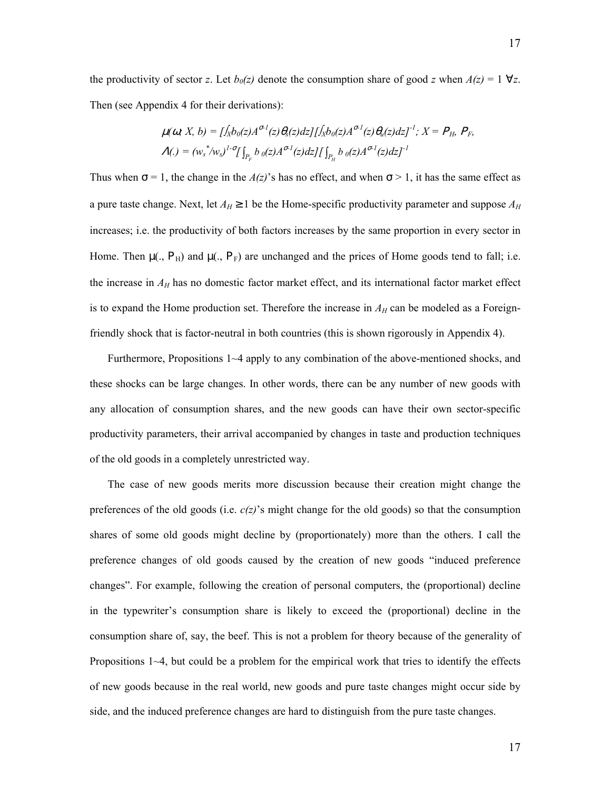the productivity of sector *z*. Let  $b_0(z)$  denote the consumption share of good *z* when  $A(z) = 1 \forall z$ . Then (see Appendix 4 for their derivations):

$$
\mu(\omega; X, b) = \int_X b_0(z) A^{\sigma}{}(z) \theta_s(z) dz \int_X b_0(z) A^{\sigma}{}(z) \theta_u(z) dz \int^{-1} ; X = P_H, P_F,
$$
  

$$
\Lambda(.) = (w_s^* / w_s)^{1-\sigma} \int_{P_F} b_0(z) A^{\sigma}{}(z) dz \int_X \int_{P_H} b_0(z) A^{\sigma}{}(z) dz \int^{-1}
$$

Thus when  $\sigma = 1$ , the change in the  $A(z)$ 's has no effect, and when  $\sigma > 1$ , it has the same effect as a pure taste change. Next, let  $A_H \geq 1$  be the Home-specific productivity parameter and suppose  $A_H$ increases; i.e. the productivity of both factors increases by the same proportion in every sector in Home. Then  $\mu(.)$ ,  $P_H$ ) and  $\mu(.)$ ,  $P_F$ ) are unchanged and the prices of Home goods tend to fall; i.e. the increase in  $A_H$  has no domestic factor market effect, and its international factor market effect is to expand the Home production set. Therefore the increase in  $A_H$  can be modeled as a Foreignfriendly shock that is factor-neutral in both countries (this is shown rigorously in Appendix 4).

Furthermore, Propositions 1~4 apply to any combination of the above-mentioned shocks, and these shocks can be large changes. In other words, there can be any number of new goods with any allocation of consumption shares, and the new goods can have their own sector-specific productivity parameters, their arrival accompanied by changes in taste and production techniques of the old goods in a completely unrestricted way.

The case of new goods merits more discussion because their creation might change the preferences of the old goods (i.e. *c(z)*'s might change for the old goods) so that the consumption shares of some old goods might decline by (proportionately) more than the others. I call the preference changes of old goods caused by the creation of new goods "induced preference changes". For example, following the creation of personal computers, the (proportional) decline in the typewriter's consumption share is likely to exceed the (proportional) decline in the consumption share of, say, the beef. This is not a problem for theory because of the generality of Propositions  $1 \sim 4$ , but could be a problem for the empirical work that tries to identify the effects of new goods because in the real world, new goods and pure taste changes might occur side by side, and the induced preference changes are hard to distinguish from the pure taste changes.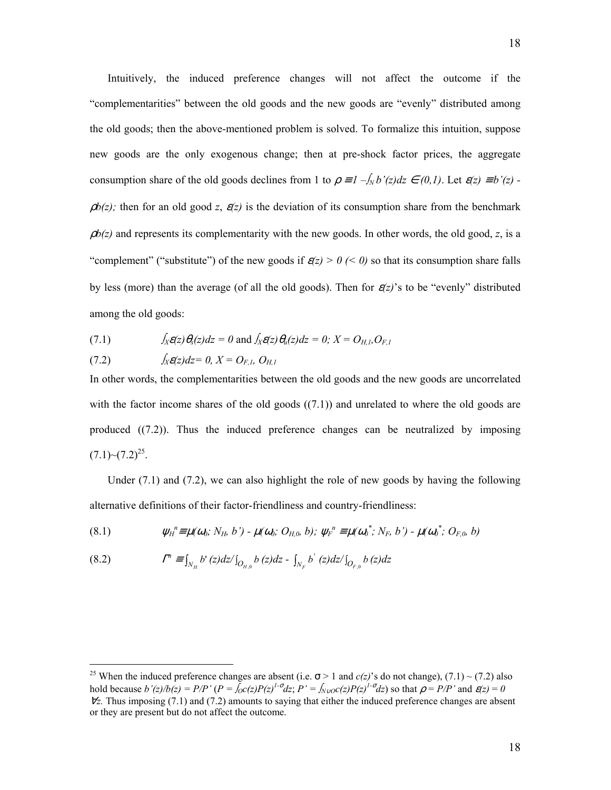Intuitively, the induced preference changes will not affect the outcome if the "complementarities" between the old goods and the new goods are "evenly" distributed among the old goods; then the above-mentioned problem is solved. To formalize this intuition, suppose new goods are the only exogenous change; then at pre-shock factor prices, the aggregate consumption share of the old goods declines from 1 to  $\rho \equiv 1 - f_N b'(z) dz \in (0,1)$ . Let  $\varepsilon(z) \equiv b'(z)$  - $\rho b(z)$ ; then for an old good *z*,  $\varepsilon(z)$  is the deviation of its consumption share from the benchmark  $\rho b(z)$  and represents its complementarity with the new goods. In other words, the old good, *z*, is a "complement" ("substitute") of the new goods if  $\varepsilon(z) > 0$  (< 0) so that its consumption share falls by less (more) than the average (of all the old goods). Then for  $\varepsilon(z)$ 's to be "evenly" distributed among the old goods:

(7.1) 
$$
\int_X \varepsilon(z) \theta_s(z) dz = 0 \text{ and } \int_X \varepsilon(z) \theta_u(z) dz = 0; X = O_{H,L}, O_{F,L}
$$

(7.2) 
$$
\int_X \mathcal{E}(z) dz = 0, X = O_{F,L}, O_{H,L}
$$

1

In other words, the complementarities between the old goods and the new goods are uncorrelated with the factor income shares of the old goods  $((7.1))$  and unrelated to where the old goods are produced  $((7.2))$ . Thus the induced preference changes can be neutralized by imposing  $(7.1)$   $\sim$   $(7.2)$ <sup>25</sup>.

Under (7.1) and (7.2), we can also highlight the role of new goods by having the following alternative definitions of their factor-friendliness and country-friendliness:

(8.1) <sup>ψ</sup>*<sup>H</sup> n* ≡ <sup>µ</sup>*(*ω*0; NH, b') -* µ*(*ω*0; OH,0, b);* <sup>ψ</sup>*<sup>F</sup> n* ≡ <sup>µ</sup>*(*<sup>ω</sup>*<sup>0</sup> \* ; NF, b') -* µ*(*<sup>ω</sup>*<sup>0</sup> \* ; OF,0, b)* 

(8.2) 
$$
I^* = \int_{N_H} b'(z) dz / \int_{O_{H,0}} b(z) dz - \int_{N_F} b'(z) dz / \int_{O_{F,0}} b(z) dz
$$

<span id="page-19-0"></span><sup>&</sup>lt;sup>25</sup> When the induced preference changes are absent (i.e.  $\sigma > 1$  and *c(z)*'s do not change), (7.1) ~ (7.2) also hold because *b'(z)/b(z)* =  $P/P'$  ( $P = \int_{O}c(z)P(z)^{1-\sigma}dz$ ;  $P' = \int_{N\setminus O}c(z)P(z)^{1-\sigma}dz$ ) so that  $\rho = P/P'$  and  $\varepsilon(z) = 0$ ∀*z.* Thus imposing (7.1) and (7.2) amounts to saying that either the induced preference changes are absent or they are present but do not affect the outcome.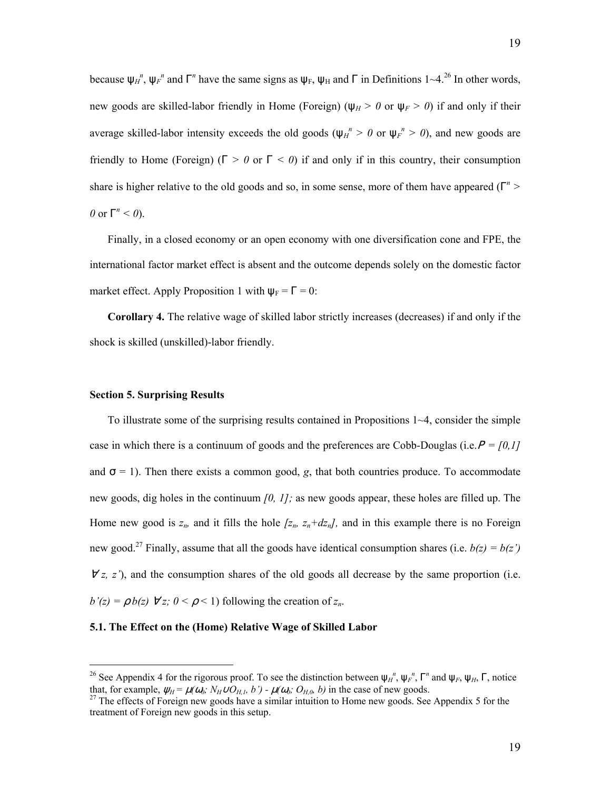because  $\psi_H^n$ ,  $\psi_F^n$  and  $\Gamma^n$  have the same signs as  $\psi_F$ ,  $\psi_H$  and  $\Gamma$  in Definitions 1~4.<sup>26</sup> In other words, new goods are skilled-labor friendly in Home (Foreign) ( $\psi_H > 0$  or  $\psi_F > 0$ ) if and only if their average skilled-labor intensity exceeds the old goods ( $\psi_H^n > 0$  or  $\psi_F^n > 0$ ), and new goods are friendly to Home (Foreign) ( $\Gamma > 0$  or  $\Gamma < 0$ ) if and only if in this country, their consumption share is higher relative to the old goods and so, in some sense, more of them have appeared ( $\Gamma$ <sup>*n*</sup> >  $\theta$  or  $\Gamma^n \leq \theta$ ).

Finally, in a closed economy or an open economy with one diversification cone and FPE, the international factor market effect is absent and the outcome depends solely on the domestic factor market effect. Apply Proposition 1 with  $\psi_F = \Gamma = 0$ :

**Corollary 4.** The relative wage of skilled labor strictly increases (decreases) if and only if the shock is skilled (unskilled)-labor friendly.

# **Section 5. Surprising Results**

1

To illustrate some of the surprising results contained in Propositions 1~4, consider the simple case in which there is a continuum of goods and the preferences are Cobb-Douglas (i.e.  $P = [0,1]$ and  $\sigma = 1$ ). Then there exists a common good, *g*, that both countries produce. To accommodate new goods, dig holes in the continuum *[0, 1];* as new goods appear, these holes are filled up. The Home new good is  $z_n$ , and it fills the hole  $[z_n, z_n + dz_n]$ , and in this example there is no Foreign new good.<sup>27</sup> Finally, assume that all the goods have identical consumption shares (i.e.  $b(z) = b(z')$ ) *∀z, z'*), and the consumption shares of the old goods all decrease by the same proportion (i.e.  $b'(z) = \rho b(z) \quad \forall z; \quad 0 \leq \rho \leq 1$  following the creation of  $z_n$ .

# **5.1. The Effect on the (Home) Relative Wage of Skilled Labor**

<span id="page-20-0"></span><sup>&</sup>lt;sup>26</sup> See Appendix 4 for the rigorous proof. To see the distinction between  $\psi_H^n$ ,  $\psi_F^n$ , Γ<sup>n</sup> and  $\psi_F$ ,  $\psi_H$ , Γ, notice that, for example,  $\psi_H = \mu(\omega_0; N_H \cup O_{H,l}, b') - \mu(\omega_0; O_{H,0}, b)$  in the case of new goods.<br><sup>27</sup> The effects of Foreign new goods have a similar intuition to Home new goods. See Appendix 5 for the

<span id="page-20-1"></span>treatment of Foreign new goods in this setup.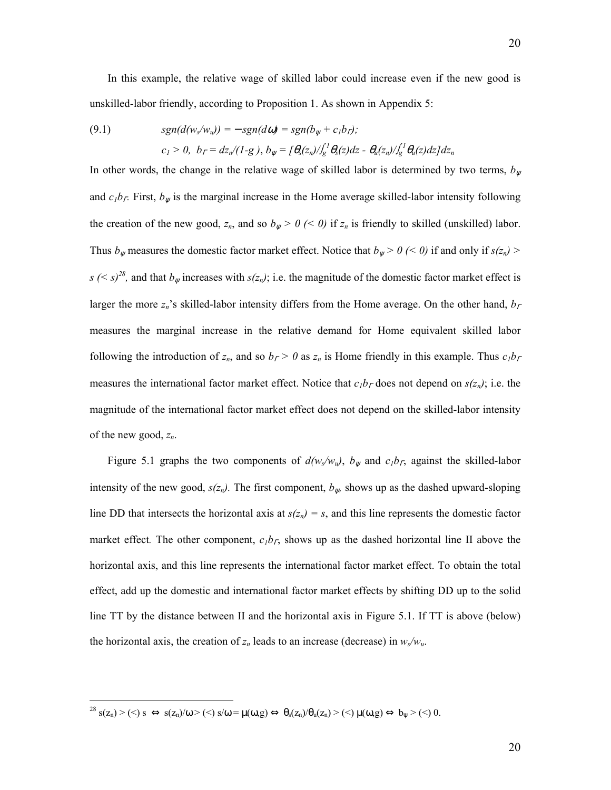In this example, the relative wage of skilled labor could increase even if the new good is unskilled-labor friendly, according to Proposition 1. As shown in Appendix 5:

(9.1) 
$$
sgn(d(w_s/w_u)) = -sgn(d\omega) = sgn(b_w + c_1b_T);
$$

$$
c_1 > 0, b_T = dz_n/(1-g), b_w = [\theta_s(z_n)/\int_g^1 \theta_s(z)dz - \theta_u(z_n)/\int_g^1 \theta_u(z)dz]dz_n
$$

In other words, the change in the relative wage of skilled labor is determined by two terms,  $b_w$ and  $c_1b_F$ . First,  $b_\psi$  is the marginal increase in the Home average skilled-labor intensity following the creation of the new good,  $z_n$ , and so  $b_\psi > 0$  (< 0) if  $z_n$  is friendly to skilled (unskilled) labor. Thus *b*<sub> $\psi$ </sub> measures the domestic factor market effect. Notice that *b*<sub> $\psi$ </sub> > 0 (< 0) if and only if *s*(*z<sub>n</sub>*) >  $s$  (< s)<sup>28</sup>, and that  $b_\psi$  increases with  $s(z_n)$ ; i.e. the magnitude of the domestic factor market effect is larger the more *z<sub>n</sub>*'s skilled-labor intensity differs from the Home average. On the other hand, *b*<sub>Γ</sub> measures the marginal increase in the relative demand for Home equivalent skilled labor following the introduction of  $z_n$ , and so  $b_r > 0$  as  $z_n$  is Home friendly in this example. Thus  $c_l b_r$ measures the international factor market effect. Notice that  $c_1b_\Gamma$  does not depend on  $s(z_n)$ ; i.e. the magnitude of the international factor market effect does not depend on the skilled-labor intensity of the new good, *zn*.

Figure 5.1 graphs the two components of  $d(w_s/w_u)$ ,  $b_w$  and  $c_1b$ <sub>*Γ*</sub>, against the skilled-labor intensity of the new good,  $s(z_n)$ . The first component,  $b_{\psi}$  shows up as the dashed upward-sloping line DD that intersects the horizontal axis at  $s(z_n) = s$ , and this line represents the domestic factor market effect. The other component,  $c_1b_1$  shows up as the dashed horizontal line II above the horizontal axis, and this line represents the international factor market effect. To obtain the total effect, add up the domestic and international factor market effects by shifting DD up to the solid line TT by the distance between II and the horizontal axis in Figure 5.1. If TT is above (below) the horizontal axis, the creation of  $z_n$  leads to an increase (decrease) in  $w_s/w_u$ .

<span id="page-21-0"></span> $^{28}$  s(z<sub>n</sub>) > (<) s  $\Leftrightarrow$  s(z<sub>n</sub>)/ω > (<) s/ω =  $\mu(\omega, g) \Leftrightarrow \theta_s(z_n)/\theta_u(z_n)$  > (<)  $\mu(\omega, g) \Leftrightarrow b_{\psi}$  > (<) 0.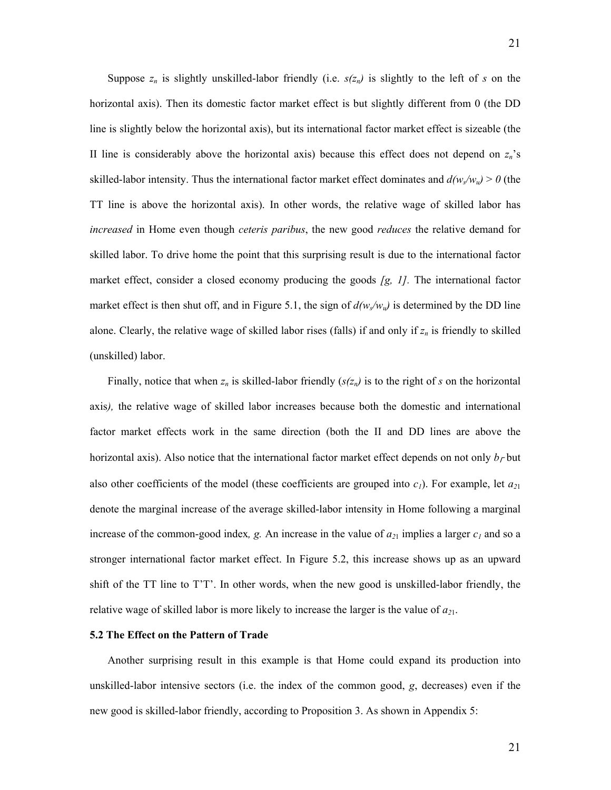Suppose  $z_n$  is slightly unskilled-labor friendly (i.e.  $s(z_n)$ ) is slightly to the left of *s* on the horizontal axis). Then its domestic factor market effect is but slightly different from 0 (the DD line is slightly below the horizontal axis), but its international factor market effect is sizeable (the II line is considerably above the horizontal axis) because this effect does not depend on  $z_n$ 's skilled-labor intensity. Thus the international factor market effect dominates and  $d(w_s/w_u) > 0$  (the TT line is above the horizontal axis). In other words, the relative wage of skilled labor has *increased* in Home even though *ceteris paribus*, the new good *reduces* the relative demand for skilled labor. To drive home the point that this surprising result is due to the international factor market effect, consider a closed economy producing the goods *[g, 1].* The international factor market effect is then shut off, and in Figure 5.1, the sign of  $d(w_s/w_u)$  is determined by the DD line alone. Clearly, the relative wage of skilled labor rises (falls) if and only if  $z_n$  is friendly to skilled (unskilled) labor.

Finally, notice that when  $z_n$  is skilled-labor friendly ( $s(z_n)$  is to the right of *s* on the horizontal axis*),* the relative wage of skilled labor increases because both the domestic and international factor market effects work in the same direction (both the II and DD lines are above the horizontal axis). Also notice that the international factor market effect depends on not only  $b<sub>Γ</sub>$  but also other coefficients of the model (these coefficients are grouped into  $c_1$ ). For example, let  $a_{21}$ denote the marginal increase of the average skilled-labor intensity in Home following a marginal increase of the common-good index, g. An increase in the value of  $a_{21}$  implies a larger  $c_1$  and so a stronger international factor market effect. In Figure 5.2, this increase shows up as an upward shift of the TT line to T'T'. In other words, when the new good is unskilled-labor friendly, the relative wage of skilled labor is more likely to increase the larger is the value of  $a_{21}$ .

# **5.2 The Effect on the Pattern of Trade**

Another surprising result in this example is that Home could expand its production into unskilled-labor intensive sectors (i.e. the index of the common good, *g*, decreases) even if the new good is skilled-labor friendly, according to Proposition 3. As shown in Appendix 5: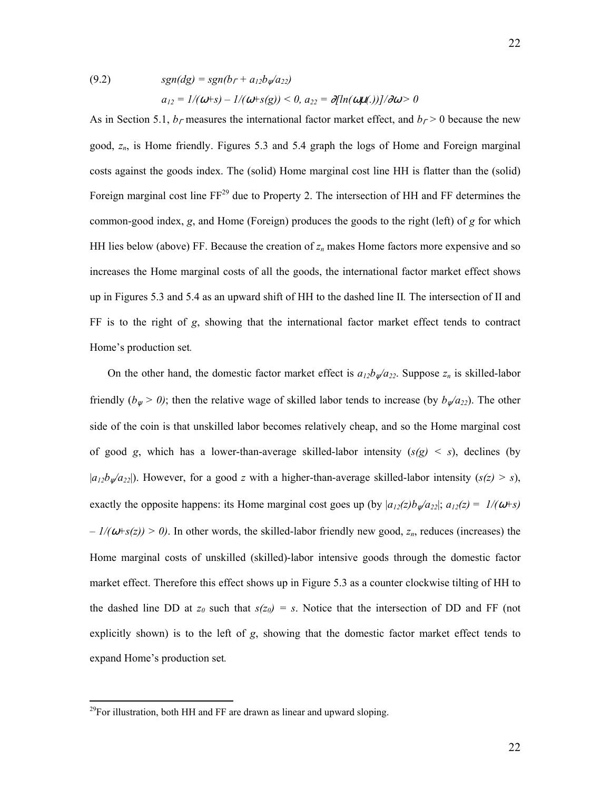(9.2) 
$$
sgn(dg) = sgn(b_{\Gamma} + a_{12}b_{\psi}/a_{22})
$$

$$
a_{12} = 1/(\omega+s) - 1/(\omega+s(g)) < 0, a_{22} = \partial [ln(\omega\mu(.))] / \partial \omega > 0
$$

As in Section 5.1,  $b_F$  measures the international factor market effect, and  $b_F > 0$  because the new good, *zn*, is Home friendly. Figures 5.3 and 5.4 graph the logs of Home and Foreign marginal costs against the goods index. The (solid) Home marginal cost line HH is flatter than the (solid) Foreign marginal cost line  $FF<sup>29</sup>$  $FF<sup>29</sup>$  $FF<sup>29</sup>$  due to Property 2. The intersection of HH and FF determines the common-good index, *g*, and Home (Foreign) produces the goods to the right (left) of *g* for which HH lies below (above) FF. Because the creation of  $z_n$  makes Home factors more expensive and so increases the Home marginal costs of all the goods, the international factor market effect shows up in Figures 5.3 and 5.4 as an upward shift of HH to the dashed line II*.* The intersection of II and FF is to the right of *g*, showing that the international factor market effect tends to contract Home's production set*.* 

On the other hand, the domestic factor market effect is  $a_{12}b_{\psi}/a_{22}$ . Suppose  $z_n$  is skilled-labor friendly ( $b_y > 0$ ); then the relative wage of skilled labor tends to increase (by  $b_y/a_{22}$ ). The other side of the coin is that unskilled labor becomes relatively cheap, and so the Home marginal cost of good *g*, which has a lower-than-average skilled-labor intensity  $(s/g) < s$ , declines (by  $|a_{12}b_{\psi}a_{22}|$ ). However, for a good *z* with a higher-than-average skilled-labor intensity ( $s(z) > s$ ), exactly the opposite happens: its Home marginal cost goes up (by  $|a_{12}(z)b_{\psi}/a_{22}|$ ;  $a_{12}(z) = 1/(\omega + s)$  $-1/(\omega+s(z)) > 0$ ). In other words, the skilled-labor friendly new good,  $z_n$ , reduces (increases) the Home marginal costs of unskilled (skilled)-labor intensive goods through the domestic factor market effect. Therefore this effect shows up in Figure 5.3 as a counter clockwise tilting of HH to the dashed line DD at  $z_0$  such that  $s(z_0) = s$ . Notice that the intersection of DD and FF (not explicitly shown) is to the left of *g*, showing that the domestic factor market effect tends to expand Home's production set*.*

<span id="page-23-0"></span> $^{29}$ For illustration, both HH and FF are drawn as linear and upward sloping.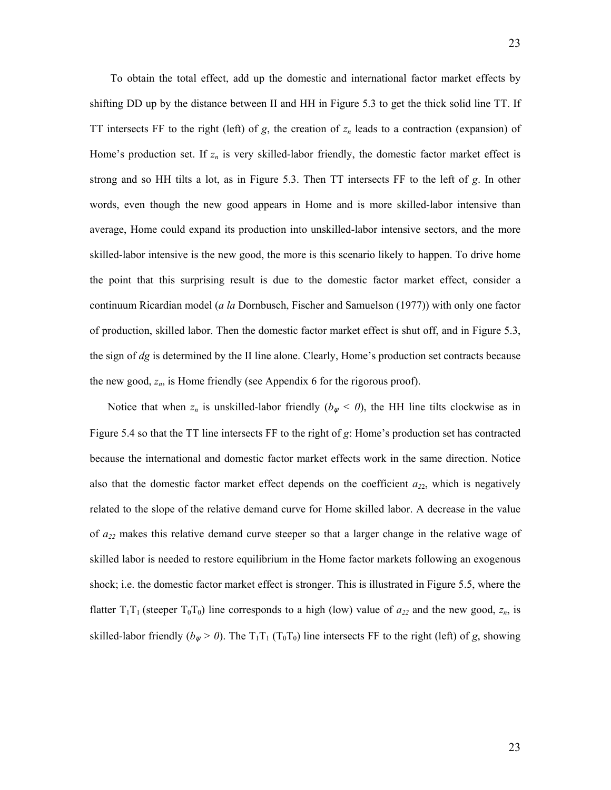To obtain the total effect, add up the domestic and international factor market effects by shifting DD up by the distance between II and HH in Figure 5.3 to get the thick solid line TT. If TT intersects FF to the right (left) of  $g$ , the creation of  $z_n$  leads to a contraction (expansion) of Home's production set. If  $z_n$  is very skilled-labor friendly, the domestic factor market effect is strong and so HH tilts a lot, as in Figure 5.3. Then TT intersects FF to the left of *g*. In other words, even though the new good appears in Home and is more skilled-labor intensive than average, Home could expand its production into unskilled-labor intensive sectors, and the more skilled-labor intensive is the new good, the more is this scenario likely to happen. To drive home the point that this surprising result is due to the domestic factor market effect, consider a continuum Ricardian model (*a la* Dornbusch, Fischer and Samuelson (1977)) with only one factor of production, skilled labor. Then the domestic factor market effect is shut off, and in Figure 5.3, the sign of *dg* is determined by the II line alone. Clearly, Home's production set contracts because the new good, *zn*, is Home friendly (see Appendix 6 for the rigorous proof).

Notice that when  $z_n$  is unskilled-labor friendly ( $b_w < 0$ ), the HH line tilts clockwise as in Figure 5.4 so that the TT line intersects FF to the right of *g*: Home's production set has contracted because the international and domestic factor market effects work in the same direction. Notice also that the domestic factor market effect depends on the coefficient  $a_{22}$ , which is negatively related to the slope of the relative demand curve for Home skilled labor. A decrease in the value of *a22* makes this relative demand curve steeper so that a larger change in the relative wage of skilled labor is needed to restore equilibrium in the Home factor markets following an exogenous shock; i.e. the domestic factor market effect is stronger. This is illustrated in Figure 5.5, where the flatter  $T_1T_1$  (steeper  $T_0T_0$ ) line corresponds to a high (low) value of  $a_{22}$  and the new good,  $z_n$ , is skilled-labor friendly ( $b_{\psi} > 0$ ). The T<sub>1</sub>T<sub>1</sub> (T<sub>0</sub>T<sub>0</sub>) line intersects FF to the right (left) of *g*, showing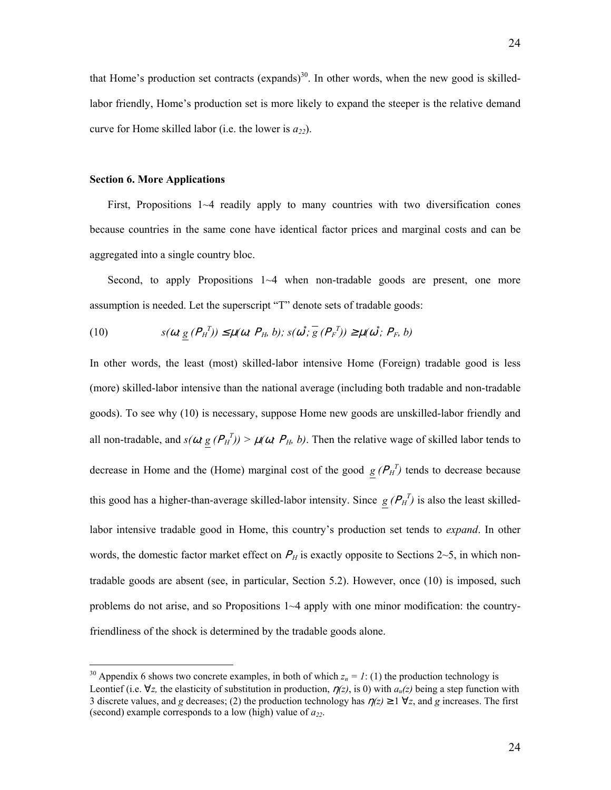that Home's production set contracts (expands)<sup>30</sup>. In other words, when the new good is skilledlabor friendly, Home's production set is more likely to expand the steeper is the relative demand curve for Home skilled labor (i.e. the lower is  $a_{22}$ ).

#### **Section 6. More Applications**

1

First, Propositions 1~4 readily apply to many countries with two diversification cones because countries in the same cone have identical factor prices and marginal costs and can be aggregated into a single country bloc.

Second, to apply Propositions 1~4 when non-tradable goods are present, one more assumption is needed. Let the superscript "T" denote sets of tradable goods:

(10) 
$$
s(\omega; g(P_H^{T})) \leq \mu(\omega; P_H, b); s(\omega^{*}; g(P_H^{T})) \geq \mu(\omega^{*}; P_H, b)
$$

In other words, the least (most) skilled-labor intensive Home (Foreign) tradable good is less (more) skilled-labor intensive than the national average (including both tradable and non-tradable goods). To see why (10) is necessary, suppose Home new goods are unskilled-labor friendly and all non-tradable, and  $s(\omega; g(P_H^T)) > \mu(\omega; P_H, b)$ . Then the relative wage of skilled labor tends to decrease in Home and the (Home) marginal cost of the good  $g(P_H^T)$  tends to decrease because this good has a higher-than-average skilled-labor intensity. Since  $g(P_H^T)$  is also the least skilledlabor intensive tradable good in Home, this country's production set tends to *expand*. In other words, the domestic factor market effect on  $P_H$  is exactly opposite to Sections 2~5, in which nontradable goods are absent (see, in particular, Section 5.2). However, once (10) is imposed, such problems do not arise, and so Propositions  $1 - 4$  apply with one minor modification: the countryfriendliness of the shock is determined by the tradable goods alone.

<span id="page-25-0"></span><sup>&</sup>lt;sup>30</sup> Appendix 6 shows two concrete examples, in both of which  $z_n = I$ : (1) the production technology is Leontief (i.e.  $\forall z$ , the elasticity of substitution in production,  $\eta(z)$ , is 0) with  $a_u(z)$  being a step function with 3 discrete values, and *g* decreases; (2) the production technology has  $\eta(z) \geq 1 \,\forall z$ , and *g* increases. The first (second) example corresponds to a low (high) value of  $a_{22}$ .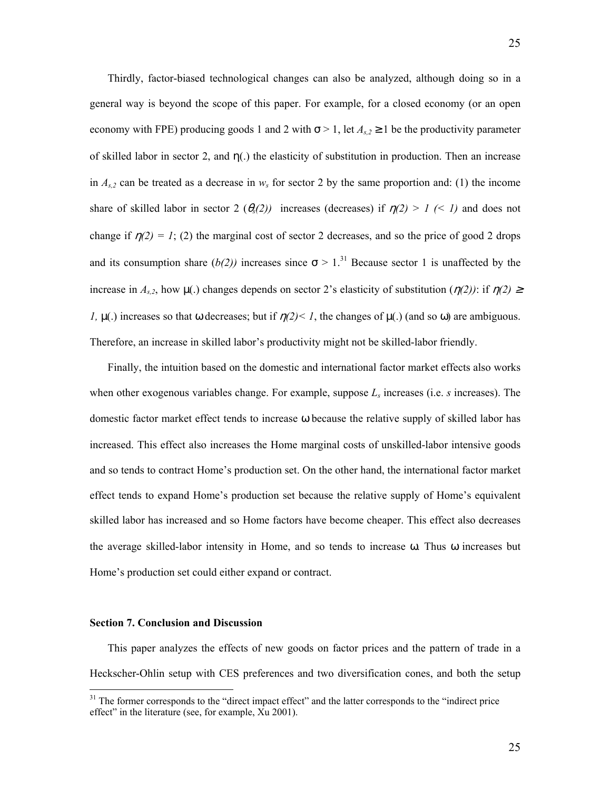Thirdly, factor-biased technological changes can also be analyzed, although doing so in a general way is beyond the scope of this paper. For example, for a closed economy (or an open economy with FPE) producing goods 1 and 2 with  $\sigma > 1$ , let  $A_{s,2} \ge 1$  be the productivity parameter of skilled labor in sector 2, and  $\eta$ . the elasticity of substitution in production. Then an increase in  $A_{s,2}$  can be treated as a decrease in  $w_s$  for sector 2 by the same proportion and: (1) the income share of skilled labor in sector 2  $(\theta_s(2))$  increases (decreases) if  $\eta(2) > 1 \leq 1$  and does not change if  $\eta(2) = 1$ ; (2) the marginal cost of sector 2 decreases, and so the price of good 2 drops and its consumption share  $(b(2))$  increases since  $\sigma > 1$ .<sup>31</sup> Because sector 1 is unaffected by the increase in  $A_{s,2}$ , how  $\mu$ (.) changes depends on sector 2's elasticity of substitution ( $\eta$ (2)): if  $\eta$ (2) ≥ *I*,  $\mu$ (.) increases so that  $\omega$  decreases; but if  $\eta(2) < I$ , the changes of  $\mu$ (.) (and so  $\omega$ ) are ambiguous. Therefore, an increase in skilled labor's productivity might not be skilled-labor friendly.

Finally, the intuition based on the domestic and international factor market effects also works when other exogenous variables change. For example, suppose *Ls* increases (i.e. *s* increases). The domestic factor market effect tends to increase ω because the relative supply of skilled labor has increased. This effect also increases the Home marginal costs of unskilled-labor intensive goods and so tends to contract Home's production set. On the other hand, the international factor market effect tends to expand Home's production set because the relative supply of Home's equivalent skilled labor has increased and so Home factors have become cheaper. This effect also decreases the average skilled-labor intensity in Home, and so tends to increase ω. Thus ω increases but Home's production set could either expand or contract.

#### **Section 7. Conclusion and Discussion**

1

This paper analyzes the effects of new goods on factor prices and the pattern of trade in a Heckscher-Ohlin setup with CES preferences and two diversification cones, and both the setup

<span id="page-26-0"></span><sup>&</sup>lt;sup>31</sup> The former corresponds to the "direct impact effect" and the latter corresponds to the "indirect price effect" in the literature (see, for example, Xu 2001).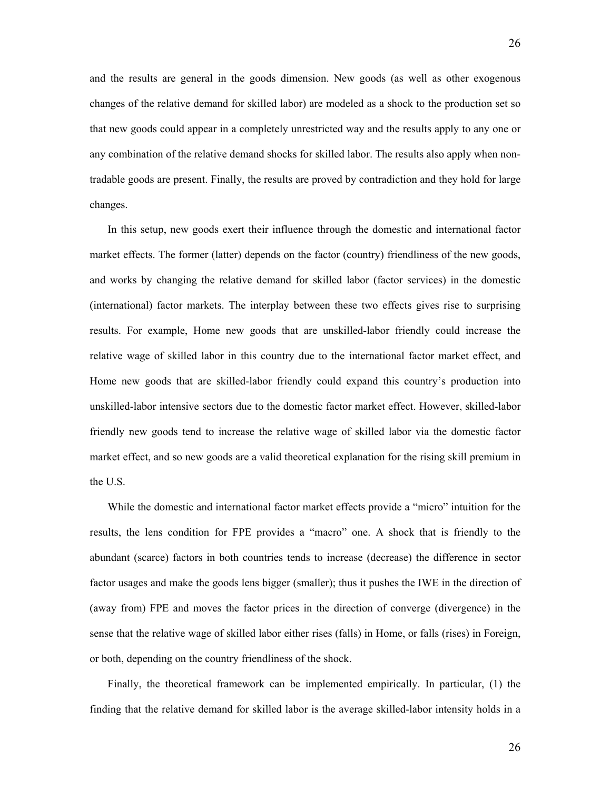and the results are general in the goods dimension. New goods (as well as other exogenous changes of the relative demand for skilled labor) are modeled as a shock to the production set so that new goods could appear in a completely unrestricted way and the results apply to any one or any combination of the relative demand shocks for skilled labor. The results also apply when nontradable goods are present. Finally, the results are proved by contradiction and they hold for large changes.

In this setup, new goods exert their influence through the domestic and international factor market effects. The former (latter) depends on the factor (country) friendliness of the new goods, and works by changing the relative demand for skilled labor (factor services) in the domestic (international) factor markets. The interplay between these two effects gives rise to surprising results. For example, Home new goods that are unskilled-labor friendly could increase the relative wage of skilled labor in this country due to the international factor market effect, and Home new goods that are skilled-labor friendly could expand this country's production into unskilled-labor intensive sectors due to the domestic factor market effect. However, skilled-labor friendly new goods tend to increase the relative wage of skilled labor via the domestic factor market effect, and so new goods are a valid theoretical explanation for the rising skill premium in the U.S.

While the domestic and international factor market effects provide a "micro" intuition for the results, the lens condition for FPE provides a "macro" one. A shock that is friendly to the abundant (scarce) factors in both countries tends to increase (decrease) the difference in sector factor usages and make the goods lens bigger (smaller); thus it pushes the IWE in the direction of (away from) FPE and moves the factor prices in the direction of converge (divergence) in the sense that the relative wage of skilled labor either rises (falls) in Home, or falls (rises) in Foreign, or both, depending on the country friendliness of the shock.

Finally, the theoretical framework can be implemented empirically. In particular, (1) the finding that the relative demand for skilled labor is the average skilled-labor intensity holds in a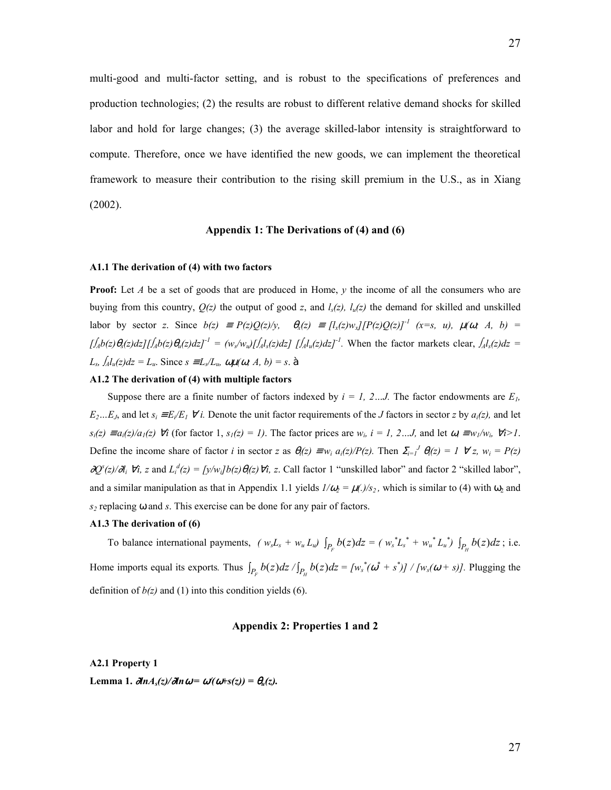multi-good and multi-factor setting, and is robust to the specifications of preferences and production technologies; (2) the results are robust to different relative demand shocks for skilled labor and hold for large changes; (3) the average skilled-labor intensity is straightforward to compute. Therefore, once we have identified the new goods, we can implement the theoretical framework to measure their contribution to the rising skill premium in the U.S., as in Xiang (2002).

## **Appendix 1: The Derivations of (4) and (6)**

#### **A1.1 The derivation of (4) with two factors**

**Proof:** Let *A* be a set of goods that are produced in Home, *y* the income of all the consumers who are buying from this country,  $Q(z)$  the output of good *z*, and  $l_s(z)$ ,  $l_u(z)$  the demand for skilled and unskilled labor by sector *z*. Since  $b(z) = P(z)Q(z)/y$ ,  $\theta_x(z) = [l_x(z)w_x][P(z)Q(z)]^{-1}$  (x=s, u),  $\mu(\omega; A, b) =$  $[f_Ab(z)\theta_s(z)dz][f_Ab(z)\theta_u(z)dz]$ <sup>-1</sup> =  $(w_s/w_u)[f_Ad_s(z)dz]$   $[f_Ad_u(z)dz]$ <sup>-1</sup>. When the factor markets clear,  $f_Ad_s(z)dz$  =  $L_s$ ,  $\int_A l_u(z) dz = L_u$ . Since  $s = L_s/L_u$ ,  $\omega \mu(\omega; A, b) = s$ . à

### **A1.2 The derivation of (4) with multiple factors**

Suppose there are a finite number of factors indexed by  $i = 1, 2, \ldots, J$ . The factor endowments are  $E_i$ ,  $E_2...E_J$ , and let  $s_i = E_i/E_I \forall i$ . Denote the unit factor requirements of the *J* factors in sector *z* by  $a_i(z)$ , and let  $s_i(z) \equiv a_i(z)/a_1(z)$   $\forall i$  (for factor 1,  $s_1(z) = 1$ ). The factor prices are  $w_i$ ,  $i = 1, 2...$  and let  $\omega_i \equiv w_1/w_i$ ,  $\forall i > 1$ . Define the income share of factor *i* in sector *z* as  $\theta_i(z) \equiv w_i a_i(z)/P(z)$ . Then  $\sum_{i=1}^{J} \theta_i(z) = I \ \forall z, w_i = P(z)$  $∂Q<sup>s</sup>(z)/∂l<sub>i</sub> ∀i, z$  and  $L<sub>i</sub><sup>d</sup>(z) = [y/w<sub>i</sub>]b(z)θ<sub>i</sub>(z) ∀i, z$ . Call factor 1 "unskilled labor" and factor 2 "skilled labor", and a similar manipulation as that in Appendix 1.1 yields  $1/\omega_2 = \mu(\frac{1}{s_2})$ , which is similar to (4) with  $\omega_2$  and *s2* replacing ω and *s*. This exercise can be done for any pair of factors.

#### **A1.3 The derivation of (6)**

To balance international payments,  $(w_s L_s + w_u L_w) \int_{P_F} b(z) dz = (w_s^* L_s^* + w_u^* L_u^*) \int_{P_H} b(z) dz$ ; i.e. Home imports equal its exports. Thus  $\int_{P_F} b(z)dz / \int_{P_H} b(z)dz = [w_s^*(\omega^* + s^*)] / [w_s(\omega + s)]$ . Plugging the definition of  $b(z)$  and (1) into this condition yields (6).

### **Appendix 2: Properties 1 and 2**

**A2.1 Property 1** 

**Lemma 1.** ∂*lnAs(z)/*∂*ln*ω *=* ω*/(*ω*+s(z)) =* θ*u(z).*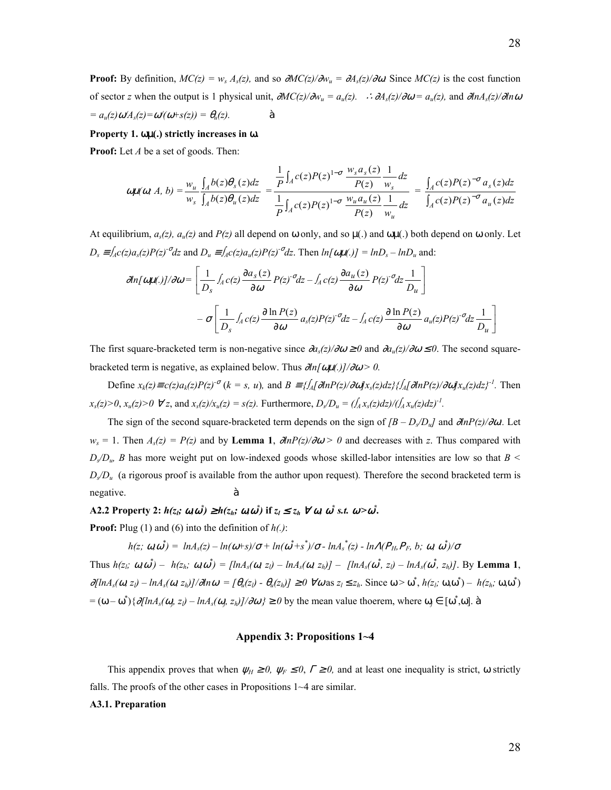**Proof:** By definition,  $MC(z) = w_s A_s(z)$ , and so  $\partial MC(z)/\partial w_u = \partial A_s(z)/\partial \omega$ . Since  $MC(z)$  is the cost function of sector *z* when the output is 1 physical unit,  $\partial M C(z)/\partial w_u = a_u(z)$ . ∴ $\partial A_s(z)/\partial \omega = a_u(z)$ , and  $\partial ln A_s(z)/\partial ln \omega$  $a_u(z) \omega A_s(z) = \omega/(\omega + s(z)) = \theta_u(z).$  à

#### **Property 1.** ωµ**(.) strictly increases in** ω**.**

**Proof:** Let *A* be a set of goods. Then:

$$
\omega \mu(\omega; A, b) = \frac{w_u}{w_s} \frac{\int_A b(z) \theta_s(z) dz}{\int_A b(z) \theta_u(z) dz} = \frac{\frac{1}{P} \int_A c(z) P(z)^{1-\sigma} \frac{w_s a_s(z)}{P(z)} \frac{1}{w_s} dz}{\frac{1}{P} \int_A c(z) P(z)^{1-\sigma} \frac{w_u a_u(z)}{P(z)} \frac{1}{w_u} dz} = \frac{\int_A c(z) P(z)^{-\sigma} a_s(z) dz}{\int_A c(z) P(z)^{-\sigma} a_u(z) dz}
$$

At equilibrium,  $a_s(z)$ ,  $a_u(z)$  and  $P(z)$  all depend on  $\omega$  only, and so  $\mu(.)$  and  $\omega\mu(.)$  both depend on  $\omega$  only. Let  $D_s \equiv \int_{A} c(z) a_s(z) P(z)^{-\sigma} dz$  and  $D_u \equiv \int_{A} c(z) a_u(z) P(z)^{-\sigma} dz$ . Then  $ln[\omega \mu(A)] = lnD_s - lnD_u$  and:

$$
\partial \ln[\omega \mu(.)]/\partial \omega = \left[ \frac{1}{D_s} \int_A c(z) \frac{\partial a_s(z)}{\partial \omega} P(z)^{-\sigma} dz - \int_A c(z) \frac{\partial a_u(z)}{\partial \omega} P(z)^{-\sigma} dz \frac{1}{D_u} \right]
$$

$$
- \sigma \left[ \frac{1}{D_s} \int_A c(z) \frac{\partial \ln P(z)}{\partial \omega} a_s(z) P(z)^{-\sigma} dz - \int_A c(z) \frac{\partial \ln P(z)}{\partial \omega} a_u(z) P(z)^{-\sigma} dz \frac{1}{D_u} \right]
$$

The first square-bracketed term is non-negative since  $\partial a_s(z)/\partial \omega \ge 0$  and  $\partial a_u(z)/\partial \omega \le 0$ . The second squarebracketed term is negative, as explained below. Thus ∂*ln[*ωµ*(.)]/*∂ω *> 0.* 

Define  $x_k(z) \equiv c(z)a_k(z)P(z)^{-\sigma}$  ( $k = s, u$ ), and  $B = \frac{\iint_A \delta \ln P(z)}{\partial \omega} x_s(z)dz \frac{\iint_A \delta \ln P(z)}{\partial \omega} x_u(z)dz \frac{\iint_A \delta \ln P(z)}{\partial \omega} x_u(z)dz$ . Then  $x_s(z) > 0$ ,  $x_u(z) > 0$   $\forall z$ , and  $x_s(z)/x_u(z) = s(z)$ . Furthermore,  $D_s/D_u = (f_A x_s(z)dz)/(f_A x_u(z)dz)^{-1}$ .

The sign of the second square-bracketed term depends on the sign of *[B – Ds/Du]* and ∂*lnP(z)/*∂ω*..* Let  $w_s = 1$ . Then  $A_s(z) = P(z)$  and by **Lemma 1**,  $\frac{\partial nP(z)}{\partial \omega} > 0$  and decreases with *z*. Thus compared with  $D_{\gamma}/D_{\mu}$  *B* has more weight put on low-indexed goods whose skilled-labor intensities are low so that *B* <  $D_{\nu}/D_{\nu}$  (a rigorous proof is available from the author upon request). Therefore the second bracketed term is negative. à

# **A2.2** Property 2:  $h(z_i; \omega, \omega^*) \geq h(z_h; \omega, \omega^*)$  if  $z_l \leq z_h \; \forall \omega, \omega^*$  s.t.  $\omega > \omega^*$ .

**Proof:** Plug (1) and (6) into the definition of *h(.)*:

 $h(z; \omega, \omega^*) = ln A_s(z) - ln(\omega + s)/\sigma + ln(\omega^* + s^*)/\sigma - ln A_s^*(z) - ln A(P_H, P_F, b; \omega, \omega^*)/\sigma$ Thus  $h(z_i; \omega_i \omega^*) - h(z_h; \omega_i \omega^*) = [lnA_s(\omega, z_l) - lnA_s(\omega, z_h)] - [lnA_s(\omega^*, z_l) - lnA_s(\omega^*, z_h)]$ . By Lemma 1,  $\partial [lnA_s(\omega, z_l) - lnA_s(\omega, z_h)]/\partial ln\omega = [\theta_u(z_l) - \theta_u(z_h)] \ge 0 \quad \forall \omega \text{ as } z_l \le z_h.$  Since  $\omega > \omega^*$ ,  $h(z_l; \omega, \omega^*) - h(z_h; \omega, \omega^*)$  $=(\omega - \omega^*)\{\partial [lnA_s(\omega_j, z_l) - lnA_s(\omega_j, z_h)]/\partial \omega\} \ge 0$  by the mean value thoerem, where  $\omega_j \in [\omega^*, \omega]$ . à

#### **Appendix 3: Propositions 1~4**

This appendix proves that when  $\psi_H \ge 0$ ,  $\psi_F \le 0$ ,  $\Gamma \ge 0$ , and at least one inequality is strict,  $\omega$  strictly falls. The proofs of the other cases in Propositions 1~4 are similar.

#### **A3.1. Preparation**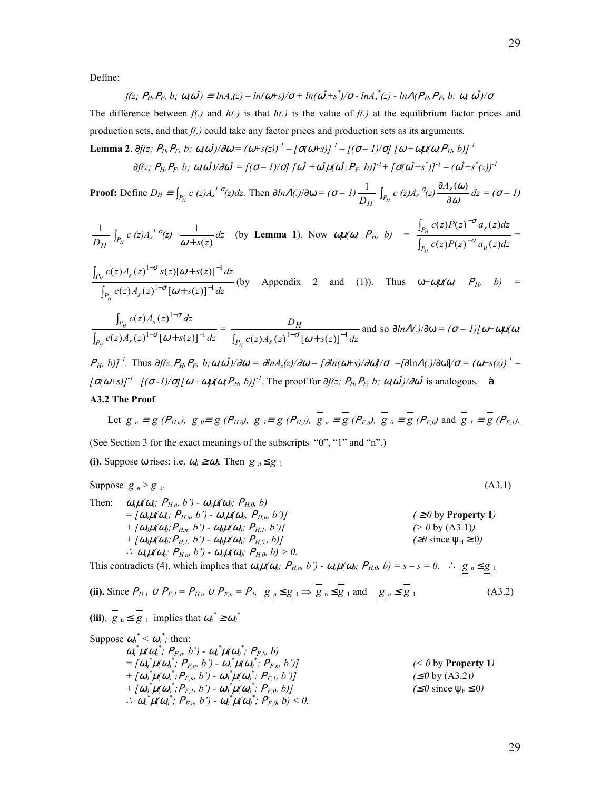Define:

$$
f(z; P_H, P_F, b; \omega, \omega^*) \equiv \ln A_s(z) - \ln(\omega + s)/\sigma + \ln(\omega^* + s^*)/\sigma - \ln A_s^*(z) - \ln A(P_H, P_F, b; \omega, \omega^*)/\sigma
$$
  
The difference between  $f(.)$  and  $h(.)$  is that  $h(.)$  is the value of  $f(.)$  at the equilibrium factor prices and  
production sets, and that  $f(.)$  could take any factor prices and production sets as its arguments.  
**Lemma 2.**  $\partial f(z; P_H, P_F, b; \omega, \omega^*)/\partial \omega = (\omega + s(z))^{-1} - [\sigma(\omega + s)]^{-1} - [(\sigma - 1)/\sigma] [\omega + \omega \mu(\omega; P_H, b)]^{-1}$   
 $\partial f(z; P_H, P_F, b; \omega, \omega^*)/\partial \omega^* = [(\sigma - 1)/\sigma] [\omega^* + \omega^* \mu(\omega^*; P_F, b)]^{-1} + [\sigma(\omega^* + s^*)]^{-1} - (\omega^* + s^* (z))^{-1}$ 

**Proof:** Define  $D_H \equiv \int_{P_H} c(z) A_s^{1-\sigma}(z) dz$ . Then  $\frac{\partial ln \Lambda(\lambda)}{\partial \omega} = (\sigma - 1) \frac{1}{D_H} \int_{P_H} c(z) A_s^{-\sigma}(z) \frac{\partial A_s(\lambda)}{\partial \omega}$ ω ∂  $\frac{\partial A_s(\omega)}{\partial z} dz = (\sigma - 1)$ 

 $\frac{1}{D_H} \int_{P_H} c (z) A_s^{1-\sigma}(z) \frac{1}{\omega + s(z)}$ 1  $\frac{1}{\omega + s(z)}$  dz (by **Lemma 1**). Now  $\omega\mu(\omega; P_H, b)$  = ∫ ∫ − − *H H*  $P_{\mu}$   $C(2)F(2)$   $u_{\mu}$  $P_{\mu}$   $c(2)F(2)$   $u_{s}$  $c(z)P(z)^{-\sigma}a_{\mu}(z)dz$  $c(z)P(z)^{-\sigma}a_s(z)dz$  $(z)P(z)^{-\sigma} a_{\nu}(z)$  $(z)P(z)^{-\sigma}a_{s}(z)$ σ σ *=* 

$$
\frac{\int_{P_H} c(z)A_s(z)^{1-\sigma} s(z)[\omega+s(z)]^{-1}dz}{\int_{P_H} c(z)A_s(z)^{1-\sigma}[\omega+s(z)]^{-1}dz}
$$
 (by Appendix 2 and (1)). Thus  $\omega+\omega\mu(\omega; P_H, b) =$ 

$$
\frac{\int_{P_H} c(z) A_s(z)^{1-\sigma} dz}{\int_{P_H} c(z) A_s(z)^{1-\sigma} [\omega + s(z)]^{-1} dz} = \frac{D_H}{\int_{P_H} c(z) A_s(z)^{1-\sigma} [\omega + s(z)]^{-1} dz} \text{ and so } \frac{\partial \ln A(\lambda)}{\partial \omega} = (\sigma - 1) [\omega + \omega \mu(\omega)]^{-1}.
$$

 $P_{H}$ , b)]<sup>-1</sup>. Thus  $\partial f(z; P_{H} P_{F}$ , b;  $\omega, \omega^{*}/\partial \omega = \partial ln A_{s}(z)/\partial \omega - [\partial ln(\omega+s)/\partial \omega]/\sigma$  -[ $\partial ln A(.)/\partial \omega]/\sigma = (\omega+s(z))^{-1}$  $[\sigma(\omega+s)]^{-1} - [(\sigma-1)/\sigma][\omega+\omega\mu(\omega;P_H,b)]^{-1}$ . The proof for  $\partial f(z; P_H, P_F, b; \omega, \omega^*)/\partial \omega^*$  is analogous. à

# **A3.2 The Proof**

Let 
$$
\underline{g}_n \equiv \underline{g}(P_{H,n})
$$
,  $\underline{g}_0 \equiv \underline{g}(P_{H,0})$ ,  $\underline{g}_1 \equiv \underline{g}(P_{H,1})$ ,  $\overline{g}_n \equiv \overline{g}(P_{F,n})$ ,  $\overline{g}_0 \equiv \overline{g}(P_{F,0})$  and  $\overline{g}_1 \equiv \overline{g}(P_{F,1})$ .

(See Section 3 for the exact meanings of the subscripts "0", "1" and "n".)

**(i).** Suppose  $\omega$  rises; i.e.  $\omega_n \ge \omega_0$ . Then  $g_n \le g_1$ 

Suppose 
$$
\underline{g}_n > \underline{g}_1
$$
.  
\nThen:  $\omega_n \mu(\omega_n; P_{H,n}, b') - \omega_0 \mu(\omega_0; P_{H,0}, b)$   
\n
$$
= [\omega_n \mu(\omega_n; P_{H,n}, b') - \omega_0 \mu(\omega_0; P_{H,n}, b')]
$$
\n
$$
+ [\omega_0 \mu(\omega_0; P_{H,n}, b') - \omega_0 \mu(\omega_0; P_{H,n}, b')]
$$
\n
$$
+ [\omega_0 \mu(\omega_0; P_{H,n}, b') - \omega_0 \mu(\omega_0; P_{H,0}, b)]
$$
\n
$$
\therefore \omega_n \mu(\omega_n; P_{H,n}, b') - \omega_0 \mu(\omega_0; P_{H,0}, b) > 0.
$$
\n
$$
\therefore \omega_n \mu(\omega_n; P_{H,n}, b') - \omega_0 \mu(\omega_0; P_{H,0}, b) > 0.
$$
\n(20 since  $\Psi_H \ge 0$ )

This contradicts (4), which implies that  $\omega_n \mu(\omega_n; P_{H,n}, b') - \omega_0 \mu(\omega_0; P_{H,0}, b) = s - s = 0$ . ∴  $g_n \leq g_1$ 

(ii). Since 
$$
P_{H,I} \cup P_{F,I} = P_{H,n} \cup P_{F,n} = P_I
$$
,  $\underline{g}_n \leq \underline{g}_1 \Rightarrow \overline{g}_n \leq \overline{g}_1$  and  $\underline{g}_n \leq \overline{g}_1$  (A3.2)

(iii). 
$$
g_n \leq g_1
$$
 implies that  $\omega_n^* \geq \omega_0^*$ 

Suppose 
$$
\omega_n^* < \omega_0^*
$$
; then:  
\n
$$
\omega_n^* \mu(\omega_n^*; P_{F,n}, b') - \omega_0^* \mu(\omega_0^*; P_{F,0}, b) \n= [\omega_n^* \mu(\omega_n^*; P_{F,n}, b') - \omega_0^* \mu(\omega_0^*; P_{F,n}, b')] \n+ [\omega_0^* \mu(\omega_0^*; P_{F,n}, b') - \omega_0^* \mu(\omega_0^*; P_{F,1}, b')] \n+ [\omega_0^* \mu(\omega_0^*; P_{F,n}, b') - \omega_0^* \mu(\omega_0^*; P_{F,0}, b)] \n\therefore \omega_n^* \mu(\omega_n^*; P_{F,n}, b') - \omega_0^* \mu(\omega_0^*; P_{F,0}, b) < 0.
$$
\n
$$
\tag{20 since  $\psi_F \le 0$ )   
\n\therefore \omega_n^* \mu(\omega_n^*; P_{F,n}, b') - \omega_0^* \mu(\omega_0^*; P_{F,0}, b) < 0.
$$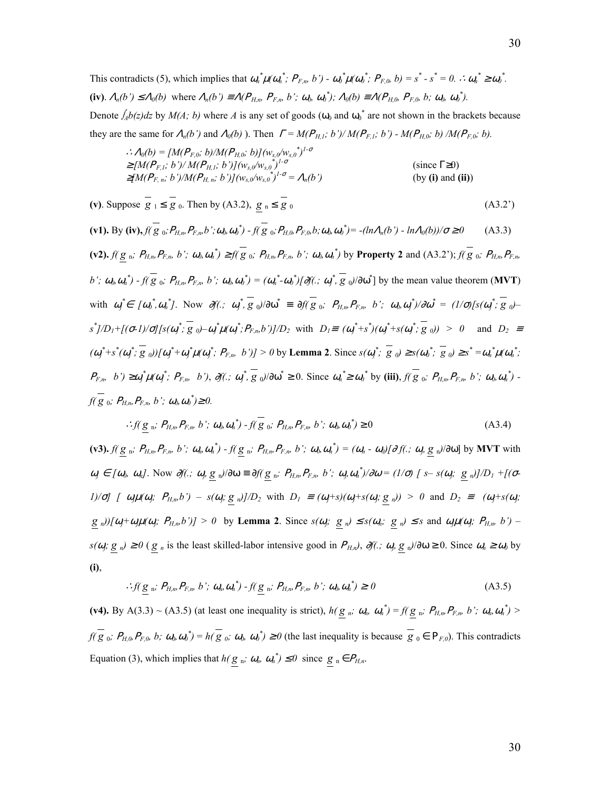This contradicts (5), which implies that  $\omega_n^* \mu(\omega_n^*; P_{F,n}, b') - \omega_0^* \mu(\omega_0^*; P_{F,0}, b) = s^* - s^* = 0$ .  $:\omega_n^* \ge \omega_0^*$ . (iv).  $A_n(b') \le A_0(b)$  where  $A_n(b') \equiv A(P_{H,n}, P_{F,n}, b'; \omega_0, \omega_0^*); A_0(b) \equiv A(P_{H,0}, P_{F,0}, b; \omega_0, \omega_0^*).$ 

Denote  $\int_A b(z) dz$  by  $M(A; b)$  where A is any set of goods ( $\omega_0$  and  $\omega_0^*$  are not shown in the brackets because they are the same for  $\Lambda_n(b')$  and  $\Lambda_0(b)$ ). Then  $\Gamma = M(P_{H,l}; b')/M(P_{F,l}; b') - M(P_{H,0}; b)/M(P_{F,0}; b)$ .

$$
\therefore \Lambda_0(b) = [M(P_{F,0}; b)/M(P_{H,0}; b)](w_{s,0}/w_{s,0})^{1-\sigma}
$$
  
\n
$$
\geq [M(P_{F,1}; b')/M(P_{H,1}; b')](w_{s,0}/w_{s,0})^{1-\sigma}
$$
  
\n
$$
\geq [M(P_{F,n}; b')/M(P_{H,n}; b')](w_{s,0}/w_{s,0})^{1-\sigma} = \Lambda_n(b')
$$
 (by (i) and (ii))

(v). Suppose 
$$
\overline{g}_1 \le \overline{g}_0
$$
. Then by (A3.2),  $\underline{g}_1 \le \overline{g}_0$  (A3.2')

$$
(v1). By (iv), f(g_0; P_{H,n}, P_{F,n}, b'; \omega_0, \omega_0^*) - f(g_0; P_{H,0}, P_{F,0}, b; \omega_0, \omega_0^*) = -(ln\Lambda_n(b') - ln\Lambda_0(b))/\sigma \ge 0
$$
 (A3.3)

(v2).  $f(g_n; P_{H,n}, P_{F,n}, b'; \omega_0, \omega_n^*) \geq f(g_0; P_{H,n}, P_{F,n}, b'; \omega_0, \omega_n^*)$  by Property 2 and (A3.2');  $f(g_0; P_{H,n}, P_{F,n})$ b';  $\omega_0, \omega_n^*$ ) -  $f(g_0; P_{H,n}, P_{F,n}, b'$ ;  $\omega_0, \omega_0^*$ ) =  $(\omega_n^* \text{-} \omega_0^*)[\partial f(\cdot; \omega_n^*, g_0)/\partial \omega^*]$  by the mean value theorem (MVT) with  $\omega_j^* \in [\omega_0^*, \omega_n^*]$ . Now  $\partial f(\cdot; \omega_j^*, g_0)/\partial \omega^* = \partial f(g_0; P_{H,n}, P_{F,n}, b'; \omega_0, \omega_j^*)/\partial \omega^* = (1/\sigma)[s(\omega_j^*; g_0)-\sigma_{F,n}^*]$  $s^* / D_1 + [(\sigma - 1)/\sigma] [s(\omega_j^*; g_0) - \omega_j^* \mu(\omega_j^*; P_{F,n}, b')] / D_2$  with  $D_1 = (\omega_j^* + s^*) (\omega_j^* + s(\omega_j^*; g_0)) > 0$  and  $D_2 =$  $(\omega_i^* + s^*(\omega_i^*, g))[\omega_i^* + \omega_i^* \mu(\omega_i^*, P_{F,n}, b')] > 0$  by Lemma 2. Since  $s(\omega_i^*, g) \geq s(\omega_0^*, g) \geq s^* = \omega_n^* \mu(\omega_n^*; g)$  $P_{F,n}$ , b')  $\geq \omega_j^* \mu(\omega_j^*; P_{F,n}$ , b'),  $\partial f(., \omega_j^*, g_0)/\partial \omega^* \geq 0$ . Since  $\omega_n^* \geq \omega_0^*$  by (iii),  $f(g_0; P_{H,n}, P_{F,n}, b'; \omega_0, \omega_n^*)$ . *f*( $g_0$ ;  $P_{H,n}$ , $P_{F,n}$ ,  $b'$ ;  $\omega_0$ ,  $\omega_0^*$ )  $\geq 0$ .

$$
\therefore f(\underline{g}_{n}, P_{H,n}, P_{F,n}, b'; \omega_0, \omega_n^*) - f(\overline{g}_{0}; P_{H,n}, P_{F,n}, b'; \omega_0, \omega_0^*) \ge 0
$$
\n(A3.4)

(v3).  $f(g_n; P_{H,n}, P_{F,n}, b'; \omega_n, \omega_n^*)$  -  $f(g_n; P_{H,n}, P_{F,n}, b'; \omega_0, \omega_n^*) = (\omega_n - \omega_0)[\partial f(:, \omega_n, g_n)/\partial \omega]$  by MVT with  $\omega_j \in [\omega_0, \omega_n]$ . Now  $\partial f(.)$ ;  $\omega_j$ ,  $g_{\nu}/\partial \omega \equiv \partial f(g_{\nu}, \rho_{H,\nu}, \rho_{F,\nu}, b'; \omega_j, \omega_{\nu})/\partial \omega = (1/\sigma) [s - s(\omega_j; g_{\nu})]/D_1 + [(\sigma - \omega_j; \rho_{\nu}, \rho_{F,\nu}, b'; \omega_{\nu}, \rho_{\nu})]/D_1$  $1/\sigma$   $\int$   $\omega_j \mu(\omega_j; P_{H,n} b') - s(\omega_j; g_{n})/D_2$  with  $D_1 \equiv (\omega_j+s)(\omega_j+s(\omega_j; g_{n})) > 0$  and  $D_2 \equiv (\omega_j+s(\omega_j; g_{n}))$  $g_{n}$ )  $[\omega_{j} + \omega_{j} \mu(\omega_{j}; P_{H,n}, b')] > 0$  by Lemma 2. Since  $s(\omega_{j}; g_{n}) \leq s(\omega_{n}; g_{n}) \leq s$  and  $\omega_{j} \mu(\omega_{j}; P_{H,n}, b')$  – *s*( $\omega_j$ ;  $g_{n}$ ) ≥ 0 ( $g_n$  is the least skilled-labor intensive good in  $P_{H,n}$ ),  $\partial f$ (.;  $\omega_j$ ,  $g_n$ )/∂ω ≥ 0. Since  $\omega_n$  ≥  $\omega_0$  by **(i)**,

$$
\therefore f(g_n; P_{H,n}, P_{F,n}, b'; \omega_n, \omega_n^*) - f(g_n; P_{H,n}, P_{F,n}, b'; \omega_0, \omega_n^*) \ge 0
$$
\n(A3.5)

(v4). By A(3.3) ~ (A3.5) (at least one inequality is strict),  $h(g_n; \omega_n, \omega_n^*) = f(g_n; P_{H,n}, P_{F,n}, b'; \omega_n, \omega_n^*)$  >  $f(g_0; P_{H,0}, P_{F,0}, b; \omega_0, \omega_0^*) = h(g_0; \omega_0, \omega_0^*) \ge 0$  (the last inequality is because  $g_0 \in P_{F,0}$ ). This contradicts Equation (3), which implies that  $h(g_n; \omega_n, \omega_n^*) \leq 0$  since  $g_n \in P_{H,n}$ .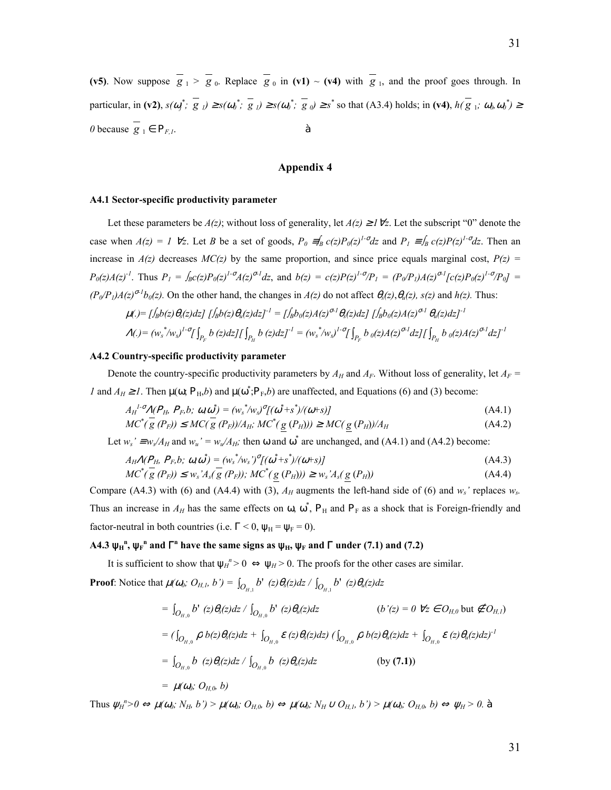(v5). Now suppose  $g_1 > g_0$ . Replace  $g_0$  in (v1) ~ (v4) with  $g_1$ , and the proof goes through. In

particular, in (v2),  $s(\omega_j^*; g_j) \ge s(\omega_0^*; g_j) \ge s(\omega_0^*; g_0) \ge s^*$  so that (A3.4) holds; in (v4),  $h(g_1; \omega_0, \omega_0^*) \ge s$  $\overline{p}$  because  $\overline{g}$ <sub>1</sub>  $\in$  P<sub>*F,1*</sub>. a

#### **Appendix 4**

#### **A4.1 Sector-specific productivity parameter**

Let these parameters be  $A(z)$ ; without loss of generality, let  $A(z) \geq 1 \forall z$ . Let the subscript "0" denote the case when  $A(z) = 1$   $\forall z$ . Let *B* be a set of goods,  $P_0 = \int_B c(z)P_0(z)^{1-\sigma} dz$  and  $P_1 = \int_B c(z)P(z)^{1-\sigma} dz$ . Then an increase in  $A(z)$  decreases  $MC(z)$  by the same proportion, and since price equals marginal cost,  $P(z)$  = *P<sub>0</sub>*(z)*A*(z)<sup>-1</sup>. Thus  $P_1 = \int_{B} c(z) P_0(z)^{1-\sigma} A(z)^{\sigma-1} dz$ , and  $b(z) = c(z) P(z)^{1-\sigma} P_1 = (P_0/P_1) A(z)^{\sigma-1} [c(z) P_0(z)^{1-\sigma} P_0] =$  $(P_0/P_1)A(z)^{\sigma_1}b_0(z)$ . On the other hand, the changes in  $A(z)$  do not affect  $\theta_s(z), \theta_u(z)$ ,  $s(z)$  and  $h(z)$ . Thus:

$$
\mu(.) = [f_{B}b(z)\theta_{s}(z)dz] [f_{B}b(z)\theta_{u}(z)dz]^{-1} = [f_{B}b_{0}(z)A(z)^{\sigma} \theta_{s}(z)dz] [f_{B}b_{0}(z)A(z)^{\sigma} \theta_{u}(z)dz]^{-1}
$$
  

$$
\Lambda(.) = (w_{s}^{*}/w_{s})^{1-\sigma}[\int_{P_{F}} b(z)dz][\int_{P_{H}} b(z)dz]^{-1} = (w_{s}^{*}/w_{s})^{1-\sigma}[\int_{P_{F}} b_{0}(z)A(z)^{\sigma} dz][\int_{P_{H}} b_{0}(z)A(z)^{\sigma} dz]^{-1}
$$

## **A4.2 Country-specific productivity parameter**

Denote the country-specific productivity parameters by  $A_H$  and  $A_F$ . Without loss of generality, let  $A_F$  = *1* and  $A_H \geq 1$ . Then  $\mu(\omega; P_H, b)$  and  $\mu(\omega^*; P_F, b)$  are unaffected, and Equations (6) and (3) become:

$$
A_H^{1-\sigma} \Lambda(P_H, P_F, b; \omega, \omega^*) = (w_s^* / w_s)^{\sigma} [( \omega^* + s^*) / (\omega + s)] \tag{A4.1}
$$

$$
MC^*(\overline{g}(P_F)) \leq MC(\overline{g}(P_F))/A_H; MC^*(\underline{g}(P_H))) \geq MC(\underline{g}(P_H))/A_H
$$
\n(A4.2)

Let  $w_s' \equiv w_s/A_H$  and  $w_u' = w_u/A_H$ ; then  $\omega$  and  $\omega^*$  are unchanged, and (A4.1) and (A4.2) become:

$$
A_H A(P_H, P_F, b; \omega, \omega^*) = (w_s^* / w_s')^{\sigma}[(\omega^* + s^*)/(\omega + s)]
$$
  
\n
$$
MC^*(g(P_F)) \le w_s' A_s(g(P_F)); MC^*(g(P_H))) \ge w_s' A_s(g(P_H))
$$
\n(A4.4)

Compare (A4.3) with (6) and (A4.4) with (3),  $A_H$  augments the left-hand side of (6) and  $w_s$ ' replaces  $w_s$ . Thus an increase in  $A_H$  has the same effects on  $\omega$ ,  $\omega^*$ ,  $P_H$  and  $P_F$  as a shock that is Foreign-friendly and factor-neutral in both countries (i.e.  $\Gamma < 0$ ,  $\psi_H = \psi_F = 0$ ).

# **A4.3**  $\psi_H$ <sup>n</sup>,  $\psi_F$ <sup>n</sup> and  $\Gamma$ <sup>n</sup> have the same signs as  $\psi_H$ ,  $\psi_F$  and  $\Gamma$  under (7.1) and (7.2)

It is sufficient to show that  $\psi_H^n > 0 \Leftrightarrow \psi_H > 0$ . The proofs for the other cases are similar.

**Proof**: Notice that  $\mu(\omega_0; O_{H,l}, b') = \int_{O_{H,l}} b' (z) \theta_s(z) dz / \int_{O_{H,l}} b' (z) \theta_u(z) dz$ 

$$
= \int_{O_{H,0}} b'(z) \theta_s(z) dz / \int_{O_{H,0}} b'(z) \theta_u(z) dz
$$
\n
$$
(b'(z) = 0 \ \forall z \in O_{H,0} \text{ but } \notin O_{H,1})
$$
\n
$$
= (\int_{O_{H,0}} \rho \ b(z) \theta_s(z) dz + \int_{O_{H,0}} \varepsilon \ (z) \theta_s(z) dz) (\int_{O_{H,0}} \rho \ b(z) \theta_u(z) dz + \int_{O_{H,0}} \varepsilon \ (z) \theta_u(z) dz)^{-1}
$$
\n
$$
= \int_{O_{H,0}} b(z) \theta_s(z) dz / \int_{O_{H,0}} b(z) \theta_u(z) dz
$$
\n
$$
(by (7.1))
$$
\n
$$
= \mu(\omega_0; O_{H,0}, b)
$$

Thus  $\psi_H^{n} > 0 \Leftrightarrow \mu(\omega_0; N_H, b') > \mu(\omega_0; O_{H,0}, b) \Leftrightarrow \mu(\omega_0; N_H \cup O_{H,1}, b') > \mu(\omega_0; O_{H,0}, b) \Leftrightarrow \psi_H > 0$ . à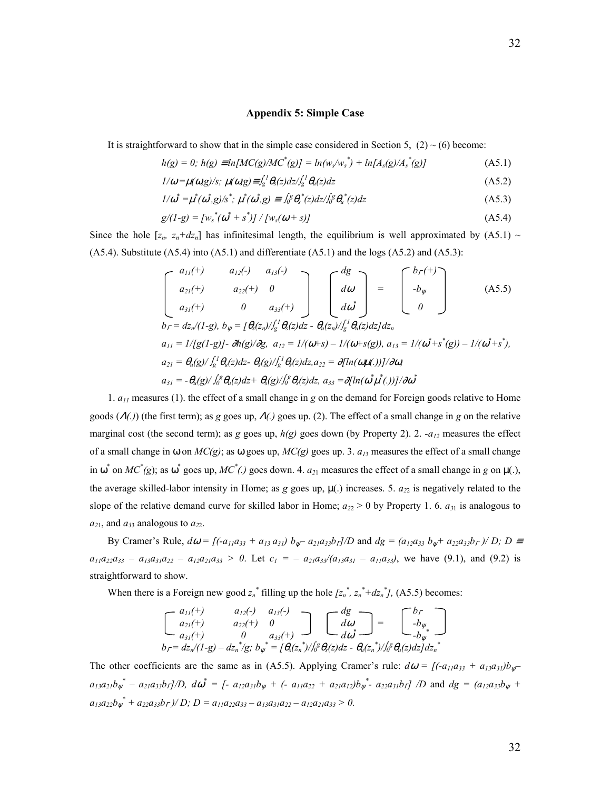#### **Appendix 5: Simple Case**

It is straightforward to show that in the simple case considered in Section 5,  $(2) \sim (6)$  become:

$$
h(g) = 0; h(g) \equiv ln[MC(g)/MC^*(g)] = ln(w_s/w_s^*) + ln[A_s(g)/A_s^*(g)] \tag{A5.1}
$$

$$
1/\omega = \mu(\omega, g)/s; \ \mu(\omega, g) \equiv \int_{g}^{1} \theta_{s}(z) dz / \int_{g}^{1} \theta_{u}(z) dz
$$
\n(A5.2)

$$
1/\omega^* = \mu^*(\omega^*, g)/s^*; \ \mu^*(\omega^*, g) = \int_{0}^{g} \theta_s^*(z) dz / \int_{0}^{g} \theta_u^*(z) dz \tag{A5.3}
$$

$$
g/(1-g) = [w_s^*(\omega^* + s^*)] / [w_s(\omega + s)]
$$
 (A5.4)

Since the hole  $[z_n, z_n + dz_n]$  has infinitesimal length, the equilibrium is well approximated by (A5.1) ~  $(A5.4)$ . Substitute  $(A5.4)$  into  $(A5.1)$  and differentiate  $(A5.1)$  and the logs  $(A5.2)$  and  $(A5.3)$ :

$$
\begin{bmatrix}\na_{11}(+) & a_{12}(-) & a_{13}(-) \\
a_{21}(+) & a_{22}(+) & 0 \\
a_{31}(+) & 0 & a_{33}(+) \\
b_{\Gamma} = d z_{n}/(1-g), \ b_{\psi} = [\theta_{s}(z_{n})/\int_{g}^{1} \theta_{s}(z) dz - \theta_{u}(z_{n})/\int_{g}^{1} \theta_{u}(z) dz] dz_{n} \\
a_{11} = 1/[g(1-g)] - \partial h(g)/\partial g, \ a_{12} = 1/(\omega+s) - 1/(\omega+s(g)), \ a_{13} = 1/(\omega^{*}+s^{*}(g)) - 1/(\omega^{*}+s^{*}), \\
a_{21} = \theta_{u}(g)/\int_{g}^{1} \theta_{u}(z) dz - \theta_{s}(g)/\int_{g}^{1} \theta_{s}(z) dz_{n} \ a_{22} = \partial [ln(\omega \mu(t))]/\partial \omega_{s} \\
a_{31} = -\theta_{u}(g)/\int_{0}^{g} \theta_{u}(z) dz + \theta_{s}(g)/\int_{0}^{g} \theta_{s}(z) dz_{n} \ a_{33} = \partial [ln(\omega^{*} \mu^{*}(t))] / \partial \omega^{*}\n\end{bmatrix} (A5.5)
$$
\n(45.5)

1. *a11* measures (1). the effect of a small change in *g* on the demand for Foreign goods relative to Home goods (Λ*(.)*) (the first term); as *g* goes up, Λ*(.)* goes up. (2). The effect of a small change in *g* on the relative marginal cost (the second term); as *g* goes up,  $h(g)$  goes down (by Property 2). 2. - $a_{12}$  measures the effect of a small change in  $\omega$  on  $MC(g)$ ; as  $\omega$  goes up,  $MC(g)$  goes up. 3.  $a_{13}$  measures the effect of a small change in  $\omega^*$  on  $MC^*(g)$ ; as  $\omega^*$  goes up,  $MC^*(.)$  goes down. 4.  $a_{21}$  measures the effect of a small change in g on  $\mu(.)$ , the average skilled-labor intensity in Home; as g goes up,  $\mu(.)$  increases. 5.  $a_{22}$  is negatively related to the slope of the relative demand curve for skilled labor in Home;  $a_{22} > 0$  by Property 1. 6.  $a_{31}$  is analogous to  $a_{21}$ , and  $a_{33}$  analogous to  $a_{22}$ .

By Cramer's Rule,  $d\omega = [(-a_{11}a_{33} + a_{13}a_{31}) b_{w} - a_{21}a_{33}b_{1}]/D$  and  $dg = (a_{12}a_{33}b_{w} + a_{22}a_{33}b_{1})/D$ ;  $D \equiv$  $a_{11}a_{22}a_{33} - a_{13}a_{31}a_{22} - a_{12}a_{21}a_{33} > 0$ . Let  $c_1 = -a_{21}a_{33}/(a_{13}a_{31} - a_{11}a_{33})$ , we have (9.1), and (9.2) is straightforward to show.

When there is a Foreign new good  $z_n^*$  filling up the hole  $[z_n^*, z_n^* + dz_n^*]$ , (A5.5) becomes:

$$
\begin{bmatrix}\n a_{11}(+) & a_{12}(-) & a_{13}(-) \\
 a_{21}(+) & a_{22}(+) & 0 \\
 a_{31}(+) & 0 & a_{33}(+) \\
 b_{\Gamma} = dz_n/(1-g) - dz_n \; \dot{\gamma}_S; \; b_{\psi}^* = [\theta_S(z_n)/\frac{1}{2}(\delta_S(z_d)dz - \theta_u(z_n))/\frac{1}{2}(\delta_u(z_d)dz]dz_n^* \\
\end{bmatrix}
$$

The other coefficients are the same as in (A5.5). Applying Cramer's rule:  $d\omega = [(-a_{11}a_{33} + a_{13}a_{31})b_{w}$  $a_{13}a_{21}b_{\psi}^* - a_{21}a_{33}b_{1}$ /D,  $d\omega^* = [-a_{12}a_{31}b_{\psi} + (-a_{11}a_{22} + a_{21}a_{12})b_{\psi}^* - a_{22}a_{31}b_{1}$  /D and  $dg = (a_{12}a_{33}b_{\psi} +$  $a_{13}a_{22}b_{\psi}^* + a_{22}a_{33}b_{\Gamma}$ )/D; D =  $a_{11}a_{22}a_{33} - a_{13}a_{31}a_{22} - a_{12}a_{21}a_{33} > 0$ .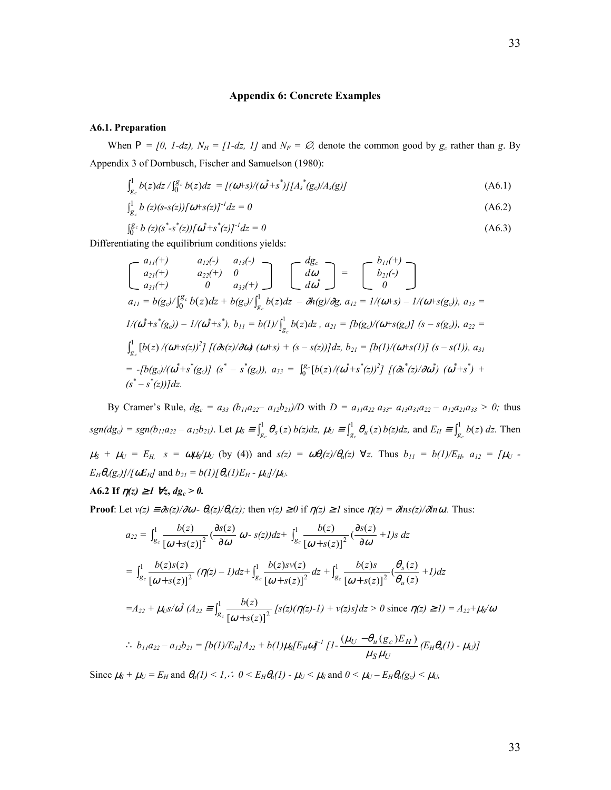# **Appendix 6: Concrete Examples**

#### **A6.1. Preparation**

When  $P = [0, 1-dz, N_H = [1-dz, 1]$  and  $N_F = \emptyset$ , denote the common good by  $g_c$  rather than g. By Appendix 3 of Dornbusch, Fischer and Samuelson (1980):

$$
\int_{g_c}^{1} b(z)dz / \int_0^{g_c} b(z)dz = [(\omega + s)/(\omega^* + s^*)] [A_s^*(g_c)/A_s(g)] \tag{A6.1}
$$

$$
\int_{g_c}^1 b(z)(s-s(z))[\omega+s(z)]^{-1}dz = 0
$$
\n(A6.2)

$$
\int_0^{g_c} b\ (z)(s^* - s^*(z)) \left[ \omega^* + s^*(z) \right]^{-1} dz = 0 \tag{A6.3}
$$

Differentiating the equilibrium conditions yields:

$$
\begin{bmatrix}\na_{11}(+) & a_{12}(-) & a_{13}(-) \\
a_{21}(+) & a_{22}(+) & 0 \\
a_{31}(+) & 0 & a_{33}(+) \n\end{bmatrix}\n\begin{bmatrix}\ndg_c \\
d\omega \\
d\omega\n\end{bmatrix} = \n\begin{bmatrix}\nb_{11}(+) \\
b_{21}(-) \\
0\n\end{bmatrix}
$$
\n
$$
a_{11} = b(g_c)/\int_0^{g_c} b(z)dz + b(g_c)/\int_{g_c}^1 b(z)dz - \partial h(g)/\partial g, a_{12} = 1/(\omega+s) - 1/(\omega+s(g_c)), a_{13} = 1/(\omega+s)^*(g_c) - 1/(\omega+s)(g_c) - 1/(\omega+s)(g_c)/\int_{g_c}^1 b(z)dz, a_{21} = [b(g_c)/(\omega+s(g_c)] (s - s(g_c)), a_{22} = 1/(\omega+s)(g_c)/(\omega+s)(g_c)/(\omega+s)(g_c)/(\omega+s)(g_c)/(\omega+s)(g_c)/(\omega+s)(g_c)/(\omega+s)(g_c)/(\omega+s)(g_c)/(\omega+s)(g_c)/(\omega+s)(g_c)/(\omega+s)(g_c)/(\omega+s)(g_c)/(\omega+s)(g_c)/(\omega+s)(g_c)/(\omega+s)(g_c)/(\omega+s)(g_c)/(\omega+s)(g_c)/(\omega+s)(g_c)/(\omega+s)(g_c)/(\omega+s)(g_c)/(\omega+s)(g_c)/(\omega+s)(g_c)/(\omega+s)(g_c)/(\omega+s)(g_c)/(\omega+s)(g_c)/(\omega+s)(g_c)/(\omega+s)(g_c)/(\omega+s)(g_c)/(\omega+s)(g_c)/(\omega+s)(g_c)/(\omega+s)(g_c)/(\omega+s)(g_c)/(\omega+s)(g_c)/(\omega+s)(g_c)/(\omega+s)(g_c)/(\omega+s)(g_c)/(\omega+s)(g_c)/(\omega+s)(g_c)/(\omega+s)(g_c)/(\omega+s)(g_c)/(\omega+s)(g_c)/(\omega+s)(g_c)/(\omega+s)(g_c)/(\omega+s)(g_c)/(\omega+s)(g_c)/(\omega+s)(g_c)/(\omega+s)(g_c)/(\omega+s)(g_c)/(\omega+s)(g_c)/(\omega+s)(g_c)/(\omega+s)(g_c)/(\omega+s)(g_c)/(\omega+s)(g_c)/(\omega+s)(g_c)/(\omega+s)(g_c)/(\omega+s)(g_c)/(\omega+s)(g_c)/(\omega+s)(g_c)/(\omega+s)(g_c)/(\omega+s)(g_c)/(\omega+s)(g_c)/(\omega+s)(g_c)/(\omega+s)(g_c)/(\omega+s)(g_c)/(\omega+s)(g_c)/(\omega+s)(g_c)/(\omega+s)(g_c)/
$$

By Cramer's Rule,  $dg_c = a_{33} (b_{11}a_{22} - a_{12}b_{21})/D$  with  $D = a_{11}a_{22}a_{33} - a_{13}a_{31}a_{22} - a_{12}a_{21}a_{33} > 0$ ; thus  $sgn(dg_c) = sgn(b_{11}a_{22} - a_{12}b_{21})$ . Let  $\mu_s = \int_{g_c}^{1} \theta_s(z) b(z) dz$ ,  $\mu_U = \int_{g_c}^{1} \theta_u(z) b(z) dz$ , and  $E_H = \int_{g_c}^{1} b(z) dz$ . Then  $\mu_S + \mu_U = E_H$ ,  $s = \omega \mu_S / \mu_U$  (by (4)) and  $s(z) = \omega \theta_s(z) / \theta_u(z)$   $\forall z$ . Thus  $b_{11} = b(1) / E_H$ ,  $a_{12} = [\mu_U - \mu_U]$  $E_H \theta_u(g_c)$ *]*/*[ωE<sub>H</sub>]* and  $b_{21} = b(1) \theta_u(1) E_H - \mu_U$ *]*/ $\mu_U$ .

# **A6.2** If  $η(z) ≥ 1 \forall z, dg_c > 0$ .

**Proof**: Let  $v(z) \equiv \partial s(z)/\partial \omega - \theta_s(z)/\theta_u(z)$ ; then  $v(z) \ge 0$  if  $\eta(z) \ge 1$  since  $\eta(z) = \partial \ln(s(z)/\partial \ln \omega$ . Thus:

$$
a_{22} = \int_{g_c}^{1} \frac{b(z)}{[\omega + s(z)]^2} \left(\frac{\partial s(z)}{\partial \omega} \omega - s(z)\right) dz + \int_{g_c}^{1} \frac{b(z)}{[\omega + s(z)]^2} \left(\frac{\partial s(z)}{\partial \omega} + 1\right) ds dz
$$
  
\n
$$
= \int_{g_c}^{1} \frac{b(z)s(z)}{[\omega + s(z)]^2} \left(\eta(z) - 1\right) dz + \int_{g_c}^{1} \frac{b(z)sv(z)}{[\omega + s(z)]^2} dz + \int_{g_c}^{1} \frac{b(z)s}{[\omega + s(z)]^2} \left(\frac{\theta_s(z)}{\theta_u(z)} + 1\right) dz
$$
  
\n
$$
= A_{22} + \mu_{US} / \omega^2 \left(A_{22} \equiv \int_{g_c}^{1} \frac{b(z)}{[\omega + s(z)]^2} \left[s(z)(\eta(z) - 1) + v(z)s\right] dz > 0 \text{ since } \eta(z) \ge 1\right) = A_{22} + \mu_{S} / \omega
$$
  
\n
$$
\therefore b_{11} a_{22} - a_{12} b_{21} = [b(1) / E_H] A_{22} + b(1) \mu_{S} [E_H \omega]^{-1} [1 - \frac{(\mu_U - \theta_u(g_c) E_H)}{\mu_S \mu_U}) \left(E_H \theta_u(1) - \mu_U\right)]
$$
  
\n
$$
= \mu_U - \mu_U \omega + \mu_U \omega + \mu_U \omega + \mu_U \omega + \mu_U \omega + \mu_U \omega + \mu_U \omega + \mu_U \omega + \mu_U \omega + \mu_U \omega + \mu_U \omega + \mu_U \omega + \mu_U \omega + \mu_U \omega + \mu_U \omega + \mu_U \omega + \mu_U \omega + \mu_U \omega + \mu_U \omega + \mu_U \omega + \mu_U \omega + \mu_U \omega + \mu_U \omega + \mu_U \omega + \mu_U \omega + \mu_U \omega + \mu_U \omega + \mu_U \omega + \mu_U \omega + \mu_U \omega + \mu_U \omega + \mu_U \omega + \mu_U \omega + \mu_U \omega + \mu_U \omega + \mu_U \omega + \mu_U \omega + \mu_U \omega + \mu_U \omega + \mu_U \omega + \mu_U \omega + \mu_U \omega + \mu_U \omega + \mu_U \omega + \mu_U \omega + \mu_U \omega + \mu_U \
$$

Since  $\mu_s + \mu_U = E_H$  and  $\theta_u(1) < 1$ ,  $\therefore 0 < E_H \theta_u(1) - \mu_U < \mu_s$  and  $0 < \mu_U - E_H \theta_u(g_c) < \mu_U$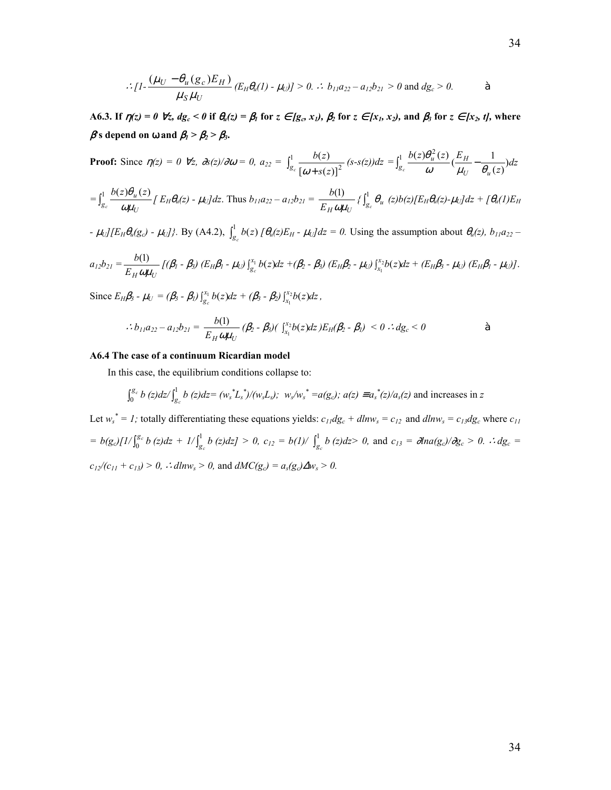$$
\therefore \left[ I - \frac{(\mu_U - \theta_u(g_c)E_H)}{\mu_S \mu_U} (E_H \theta_u(I) - \mu_U) \right] > 0. \therefore b_{11} a_{22} - a_{12} b_{21} > 0 \text{ and } d g_c > 0.
$$

A6.3. If  $\eta(z) = 0$   $\forall z, dg_c < 0$  if  $\theta_u(z) = \beta_l$  for  $z \in [g_c, x_l)$ ,  $\beta_2$  for  $z \in [x_l, x_2)$ , and  $\beta_3$  for  $z \in [x_2, t]$ , where  $\beta$ <sup>8</sup>**s** depend on  $\omega$  and  $\beta$ <sup>*l*</sup> >  $\beta$ <sub>2</sub> >  $\beta$ <sub>3</sub>**.** 

**Proof:** Since  $\eta(z) = 0$   $\forall z$ ,  $\partial s(z)/\partial \omega = 0$ ,  $a_{22} = \int_{g_c}^{1} \frac{z}{|\omega + \omega|^2}$ 1  $[\omega+s(z)]^2$  $(z)$  $\int_{c}^{g_c}$   $\left[\omega + s\right]$ *b z*  $\frac{b(z)}{\omega + s(z)^2}$  (s-s(z))dz =  $\int_{g_c}^{1} \frac{b(z)\theta_u^2(z)}{\omega}$  ( $\frac{E_H}{\mu_U}$  - $\frac{(z)\theta_u^2(z)}{\omega}(\frac{E_H}{\mu_U}-\frac{1}{\theta_u(z)})$  $\frac{d}{d}$ <sub>*g<sub>c</sub>*</sub>  $\frac{b(z)\theta_u^2(z)}{\omega}(\frac{E_H}{\mu_U}-\frac{1}{\theta_u(z)})dz$  $\omega$   $\mu_U$   $\theta$ θ

$$
= \int_{g_c}^1 \frac{b(z)\theta_u(z)}{\omega \mu_U} \int E_H \theta_u(z) - \mu_U dz.
$$
 Thus  $b_{11}a_{22} - a_{12}b_{21} = \frac{b(1)}{E_H \omega \mu_U} \int_{g_c}^1 \theta_u(z) b(z) [E_H \theta_u(z) - \mu_U] dz + [\theta_u(1)E_H \theta_u(z)]$ 

 $-\mu_U/[E_H \theta_u(g_c) - \mu_U]/$ . By (A4.2),  $\int_{g_c}^1 b(z) [\theta_u(z)E_H - \mu_U] dz = 0$ . Using the assumption about  $\theta_u(z)$ ,  $b_{11}a_{22} - \mu_U$ 

$$
a_{12}b_{21}=\frac{b(1)}{E_H\omega\mu_U}\left[(\beta_I-\beta_3)\ (E_H\beta_I-\mu_U)\int_{g_c}^{x_1}b(z)dz+(\beta_2-\beta_3)\ (E_H\beta_2-\mu_U)\int_{x_1}^{x_2}b(z)dz+(E_H\beta_3-\mu_U)\ (E_H\beta_I-\mu_U)\right].
$$

Since  $E_H\beta_3 - \mu_U = (\beta_3 - \beta_1) \int_{g_c}^{x_1} b(z) dz + (\beta_3 - \beta_2) \int_{x_1}^{x_2} b(z) dz$ ,

$$
\therefore b_{11}a_{22}-a_{12}b_{21}=\frac{b(1)}{E_H\omega\mu_U}(\beta_2-\beta_3)(\int_{x_1}^{x_2}b(z)dz)E_H(\beta_2-\beta_1) < 0 \therefore dg_c < 0
$$

#### **A6.4 The case of a continuum Ricardian model**

In this case, the equilibrium conditions collapse to:

$$
\int_0^{g_c} b(z)dz / \int_{g_c}^1 b(z)dz = (w_s^* L_s^*)/(w_s L_s); w_s/w_s^* = a(g_c); a(z) \equiv a_s^*(z)/a_s(z)
$$
 and increases in z

Let  $w_s^* = 1$ ; totally differentiating these equations yields:  $c_{11}dg_c + dlnw_s = c_{12}$  and  $dlnw_s = c_{13}dg_c$  where  $c_{11}$  $= b(g_c)[1/\int_0^{g_c} b(z)dz + 1/\int_{g_c}^1 b(z)dz] > 0, c$  $\frac{1}{g_c}$  *b* (*z*)*dz*] > 0,  $c_{12} = b(1) / \int_{g_c}^{1} b (z) dz$  > 0, and *c*  $\int_{g_c}^{1} b(z) dz > 0$ , and  $c_{13} = \partial ln a(g_c)/\partial g_c > 0$ . ∴*dg<sub>c</sub>* =  $c_{12}/(c_{11} + c_{13}) > 0$ , ∴*dlnw<sub>s</sub>* > 0, and  $dMC(g_c) = a_s(g_c)\Delta w_s > 0$ .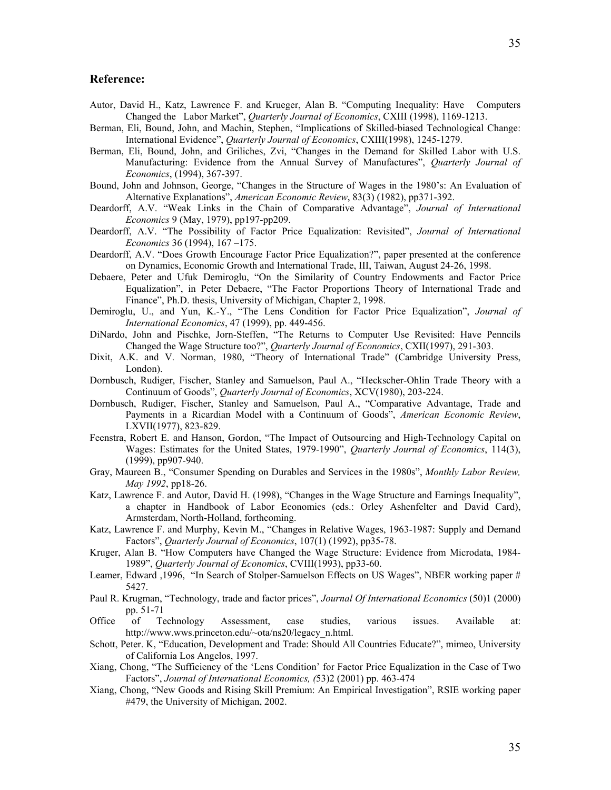# **Reference:**

- Autor, David H., Katz, Lawrence F. and Krueger, Alan B. "Computing Inequality: Have Computers Changed the Labor Market", *Quarterly Journal of Economics*, CXIII (1998), 1169-1213.
- Berman, Eli, Bound, John, and Machin, Stephen, "Implications of Skilled-biased Technological Change: International Evidence", *Quarterly Journal of Economics*, CXIII(1998), 1245-1279.
- Berman, Eli, Bound, John, and Griliches, Zvi, "Changes in the Demand for Skilled Labor with U.S. Manufacturing: Evidence from the Annual Survey of Manufactures", *Quarterly Journal of Economics*, (1994), 367-397.
- Bound, John and Johnson, George, "Changes in the Structure of Wages in the 1980's: An Evaluation of Alternative Explanations", *American Economic Review*, 83(3) (1982), pp371-392.
- Deardorff, A.V. "Weak Links in the Chain of Comparative Advantage", *Journal of International Economics* 9 (May, 1979), pp197-pp209.
- Deardorff, A.V. "The Possibility of Factor Price Equalization: Revisited", *Journal of International Economics* 36 (1994), 167 –175.
- Deardorff, A.V. "Does Growth Encourage Factor Price Equalization?", paper presented at the conference on Dynamics, Economic Growth and International Trade, III, Taiwan, August 24-26, 1998.
- Debaere, Peter and Ufuk Demiroglu, "On the Similarity of Country Endowments and Factor Price Equalization", in Peter Debaere, "The Factor Proportions Theory of International Trade and Finance", Ph.D. thesis, University of Michigan, Chapter 2, 1998.
- Demiroglu, U., and Yun, K.-Y., "The Lens Condition for Factor Price Equalization", *Journal of International Economics*, 47 (1999), pp. 449-456.
- DiNardo, John and Pischke, Jorn-Steffen, "The Returns to Computer Use Revisited: Have Penncils Changed the Wage Structure too?", *Quarterly Journal of Economics*, CXII(1997), 291-303.
- Dixit, A.K. and V. Norman, 1980, "Theory of International Trade" (Cambridge University Press, London).
- Dornbusch, Rudiger, Fischer, Stanley and Samuelson, Paul A., "Heckscher-Ohlin Trade Theory with a Continuum of Goods", *Quarterly Journal of Economics*, XCV(1980), 203-224.
- Dornbusch, Rudiger, Fischer, Stanley and Samuelson, Paul A., "Comparative Advantage, Trade and Payments in a Ricardian Model with a Continuum of Goods", *American Economic Review*, LXVII(1977), 823-829.
- Feenstra, Robert E. and Hanson, Gordon, "The Impact of Outsourcing and High-Technology Capital on Wages: Estimates for the United States, 1979-1990", *Quarterly Journal of Economics*, 114(3), (1999), pp907-940.
- Gray, Maureen B., "Consumer Spending on Durables and Services in the 1980s", *Monthly Labor Review, May 1992*, pp18-26.
- Katz, Lawrence F. and Autor, David H. (1998), "Changes in the Wage Structure and Earnings Inequality", a chapter in Handbook of Labor Economics (eds.: Orley Ashenfelter and David Card), Armsterdam, North-Holland, forthcoming.
- Katz, Lawrence F. and Murphy, Kevin M., "Changes in Relative Wages, 1963-1987: Supply and Demand Factors", *Quarterly Journal of Economics*, 107(1) (1992), pp35-78.
- Kruger, Alan B. "How Computers have Changed the Wage Structure: Evidence from Microdata, 1984- 1989", *Quarterly Journal of Economics*, CVIII(1993), pp33-60.
- Leamer, Edward ,1996, "In Search of Stolper-Samuelson Effects on US Wages", NBER working paper # 5427.
- Paul R. Krugman, "Technology, trade and factor prices", *Journal Of International Economics* (50)1 (2000) pp. 51-71
- Office of Technology Assessment, case studies, various issues. Available at: http://www.wws.princeton.edu/~ota/ns20/legacy\_n.html.
- Schott, Peter. K, "Education, Development and Trade: Should All Countries Educate?", mimeo, University of California Los Angelos, 1997.
- Xiang, Chong, "The Sufficiency of the 'Lens Condition' for Factor Price Equalization in the Case of Two Factors", *Journal of International Economics, (*53)2 (2001) pp. 463-474
- Xiang, Chong, "New Goods and Rising Skill Premium: An Empirical Investigation", RSIE working paper #479, the University of Michigan, 2002.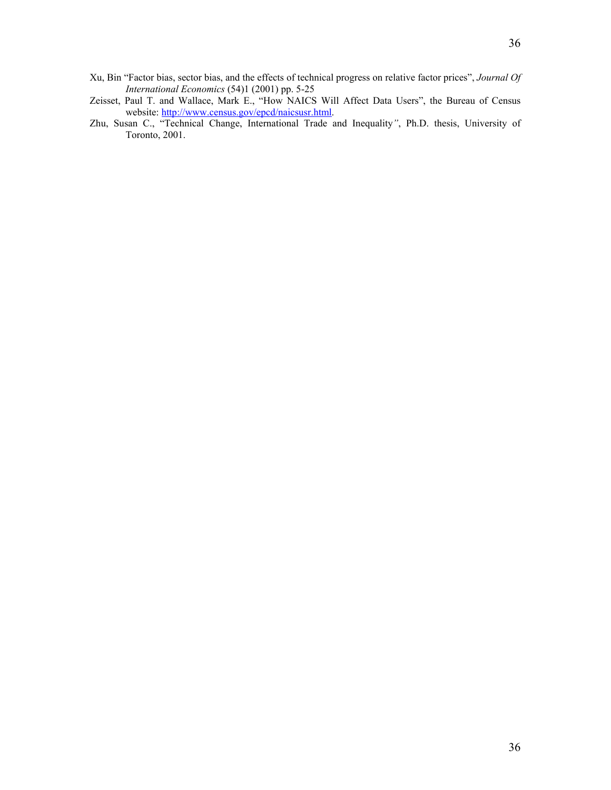- Xu, Bin "Factor bias, sector bias, and the effects of technical progress on relative factor prices", *Journal Of International Economics* (54)1 (2001) pp. 5-25
- Zeisset, Paul T. and Wallace, Mark E., "How NAICS Will Affect Data Users", the Bureau of Census website: [http://www.census.gov/epcd/naicsusr.html.](http://www.census.gov/epcd/naicsusr.html)
- Zhu, Susan C., "Technical Change, International Trade and Inequality*"*, Ph.D. thesis, University of Toronto, 2001.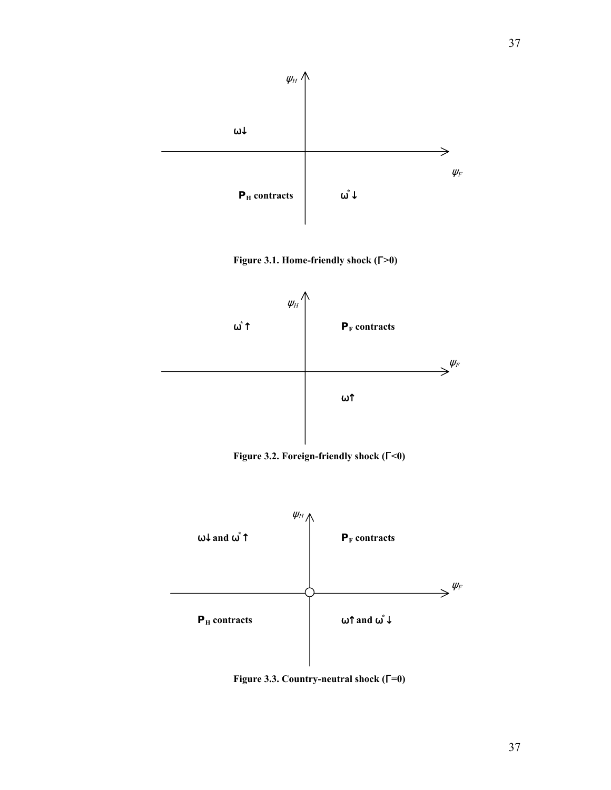

**Figure 3.1. Home-friendly shock (**Γ**>0)**



**Figure 3.2. Foreign-friendly shock (**Γ**<0)**



**Figure 3.3. Country-neutral shock (**Γ**=0)**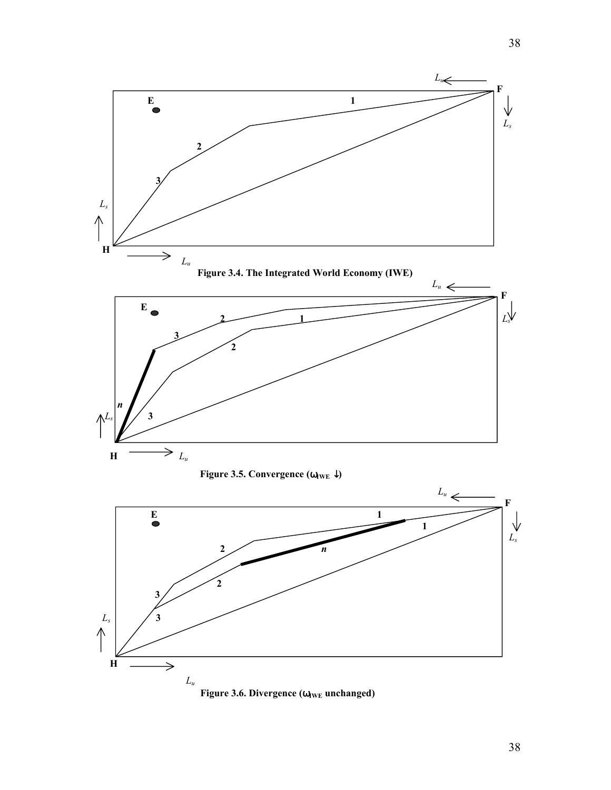

**Figure 3.6. Divergence (** $ω_{\text{IWE}}$  **unchanged)**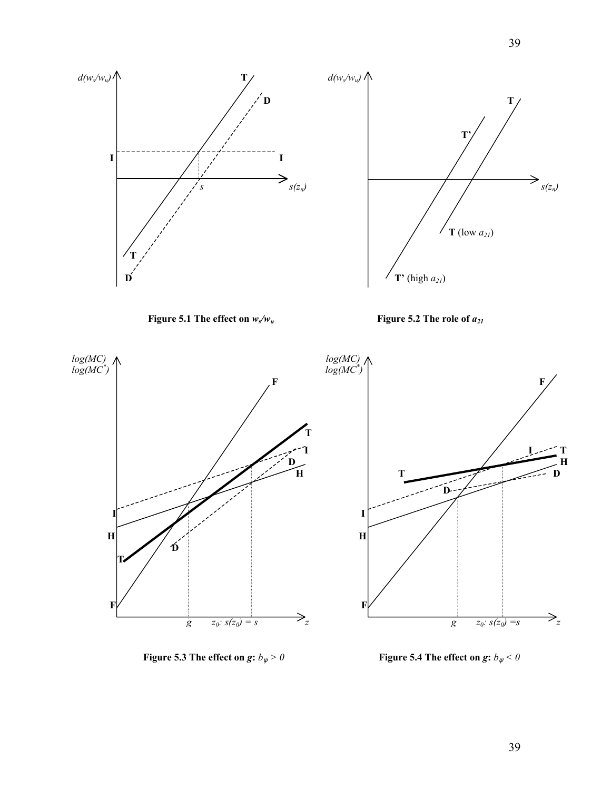

 **Figure 5.3 The effect on** *g***:**  $b_y > 0$  **<b>Figure 5.4 The effect on** *g*:  $b_y < 0$